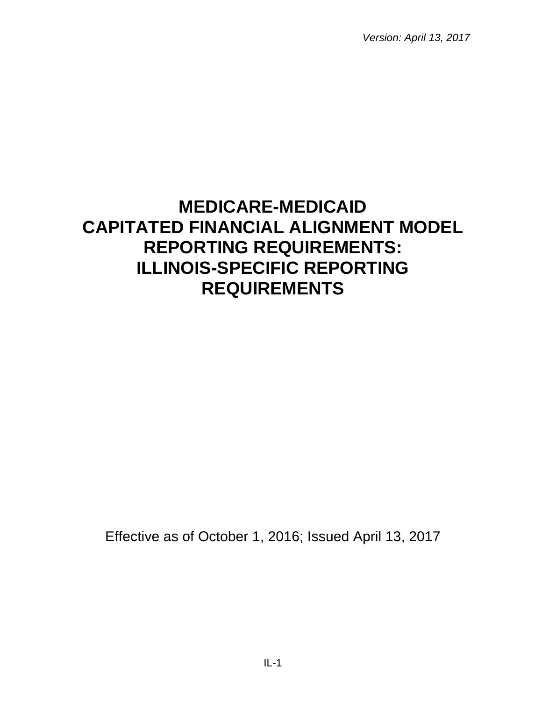*Version: April 13, 2017*

# **MEDICARE-MEDICAID CAPITATED FINANCIAL ALIGNMENT MODEL REPORTING REQUIREMENTS: ILLINOIS-SPECIFIC REPORTING REQUIREMENTS**

Effective as of October 1, 2016; Issued April 13, 2017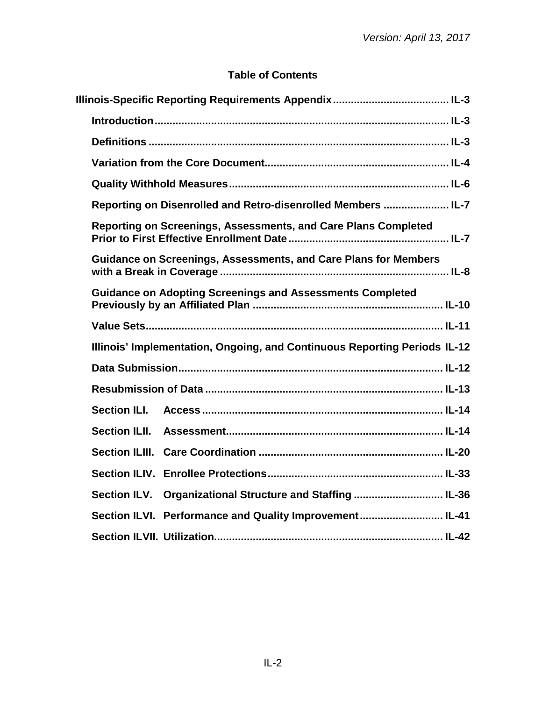## **Table of Contents**

| Definitions ………………………………………………………………………………………… IL-3                       |
|---------------------------------------------------------------------------|
|                                                                           |
|                                                                           |
| Reporting on Disenrolled and Retro-disenrolled Members  IL-7              |
| Reporting on Screenings, Assessments, and Care Plans Completed            |
| <b>Guidance on Screenings, Assessments, and Care Plans for Members</b>    |
| <b>Guidance on Adopting Screenings and Assessments Completed</b>          |
|                                                                           |
| Illinois' Implementation, Ongoing, and Continuous Reporting Periods IL-12 |
|                                                                           |
|                                                                           |
| <b>Section ILI.</b>                                                       |
| <b>Section ILII.</b>                                                      |
|                                                                           |
|                                                                           |
| Organizational Structure and Staffing  IL-36<br><b>Section ILV.</b>       |
| Section ILVI. Performance and Quality Improvement IL-41                   |
|                                                                           |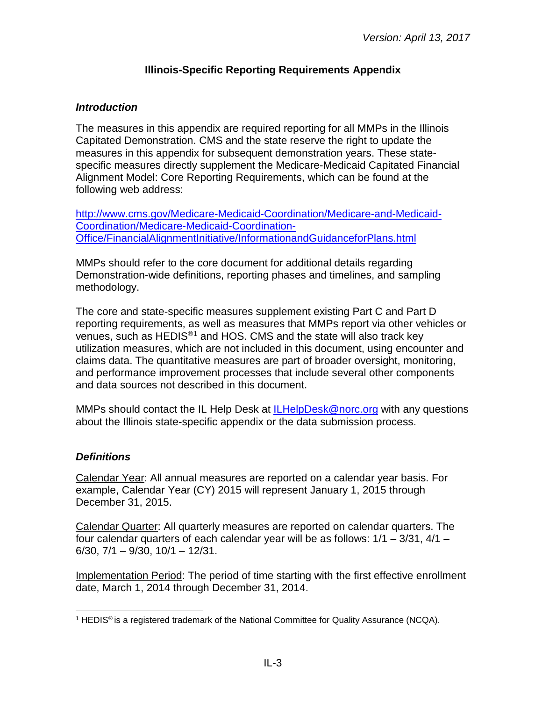## **Illinois-Specific Reporting Requirements Appendix**

## <span id="page-2-1"></span><span id="page-2-0"></span>*Introduction*

The measures in this appendix are required reporting for all MMPs in the Illinois Capitated Demonstration. CMS and the state reserve the right to update the measures in this appendix for subsequent demonstration years. These statespecific measures directly supplement the Medicare-Medicaid Capitated Financial Alignment Model: Core Reporting Requirements, which can be found at the following web address:

[http://www.cms.gov/Medicare-Medicaid-Coordination/Medicare-and-Medicaid-](http://www.cms.gov/Medicare-Medicaid-Coordination/Medicare-and-Medicaid-Coordination/Medicare-Medicaid-Coordination-Office/FinancialAlignmentInitiative/InformationandGuidanceforPlans.html)[Coordination/Medicare-Medicaid-Coordination-](http://www.cms.gov/Medicare-Medicaid-Coordination/Medicare-and-Medicaid-Coordination/Medicare-Medicaid-Coordination-Office/FinancialAlignmentInitiative/InformationandGuidanceforPlans.html)[Office/FinancialAlignmentInitiative/InformationandGuidanceforPlans.html](http://www.cms.gov/Medicare-Medicaid-Coordination/Medicare-and-Medicaid-Coordination/Medicare-Medicaid-Coordination-Office/FinancialAlignmentInitiative/InformationandGuidanceforPlans.html)

MMPs should refer to the core document for additional details regarding Demonstration-wide definitions, reporting phases and timelines, and sampling methodology.

The core and state-specific measures supplement existing Part C and Part D reporting requirements, as well as measures that MMPs report via other vehicles or venues, such as HEDIS<sup>®[1](#page-2-3)</sup> and HOS. CMS and the state will also track key utilization measures, which are not included in this document, using encounter and claims data. The quantitative measures are part of broader oversight, monitoring, and performance improvement processes that include several other components and data sources not described in this document.

MMPs should contact the IL Help Desk at [ILHelpDesk@norc.org](mailto:ILHelpDesk@norc.org) with any questions about the Illinois state-specific appendix or the data submission process.

#### <span id="page-2-2"></span>*Definitions*

Calendar Year: All annual measures are reported on a calendar year basis. For example, Calendar Year (CY) 2015 will represent January 1, 2015 through December 31, 2015.

Calendar Quarter: All quarterly measures are reported on calendar quarters. The four calendar quarters of each calendar year will be as follows:  $1/1 - 3/31$ ,  $4/1 -$ 6/30, 7/1 – 9/30, 10/1 – 12/31.

Implementation Period: The period of time starting with the first effective enrollment date, March 1, 2014 through December 31, 2014.

<span id="page-2-3"></span><sup>&</sup>lt;sup>1</sup> HEDIS<sup>®</sup> is a registered trademark of the National Committee for Quality Assurance (NCQA).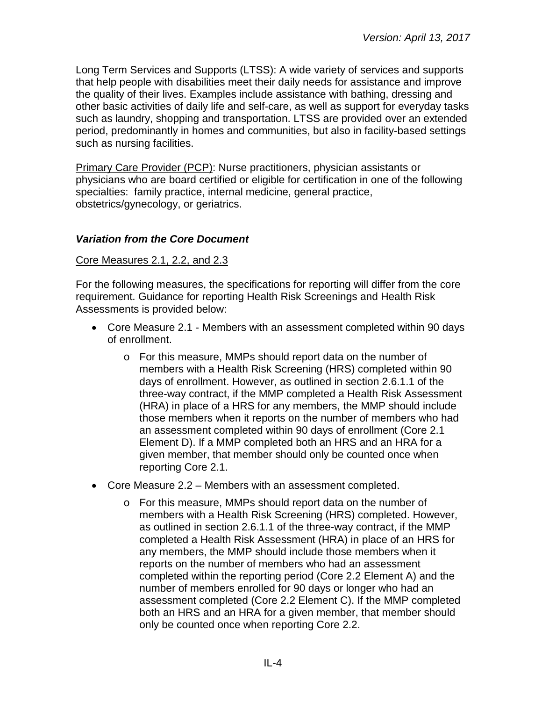Long Term Services and Supports (LTSS): A wide variety of services and supports that help people with disabilities meet their daily needs for assistance and improve the quality of their lives. Examples include assistance with bathing, dressing and other basic activities of daily life and self-care, as well as support for everyday tasks such as laundry, shopping and transportation. LTSS are provided over an extended period, predominantly in homes and communities, but also in facility-based settings such as nursing facilities.

Primary Care Provider (PCP): Nurse practitioners, physician assistants or physicians who are board certified or eligible for certification in one of the following specialties: family practice, internal medicine, general practice, obstetrics/gynecology, or geriatrics.

#### <span id="page-3-0"></span>*Variation from the Core Document*

#### Core Measures 2.1, 2.2, and 2.3

For the following measures, the specifications for reporting will differ from the core requirement. Guidance for reporting Health Risk Screenings and Health Risk Assessments is provided below:

- Core Measure 2.1 Members with an assessment completed within 90 days of enrollment.
	- o For this measure, MMPs should report data on the number of members with a Health Risk Screening (HRS) completed within 90 days of enrollment. However, as outlined in section 2.6.1.1 of the three-way contract, if the MMP completed a Health Risk Assessment (HRA) in place of a HRS for any members, the MMP should include those members when it reports on the number of members who had an assessment completed within 90 days of enrollment (Core 2.1 Element D). If a MMP completed both an HRS and an HRA for a given member, that member should only be counted once when reporting Core 2.1.
- Core Measure 2.2 Members with an assessment completed.
	- o For this measure, MMPs should report data on the number of members with a Health Risk Screening (HRS) completed. However, as outlined in section 2.6.1.1 of the three-way contract, if the MMP completed a Health Risk Assessment (HRA) in place of an HRS for any members, the MMP should include those members when it reports on the number of members who had an assessment completed within the reporting period (Core 2.2 Element A) and the number of members enrolled for 90 days or longer who had an assessment completed (Core 2.2 Element C). If the MMP completed both an HRS and an HRA for a given member, that member should only be counted once when reporting Core 2.2.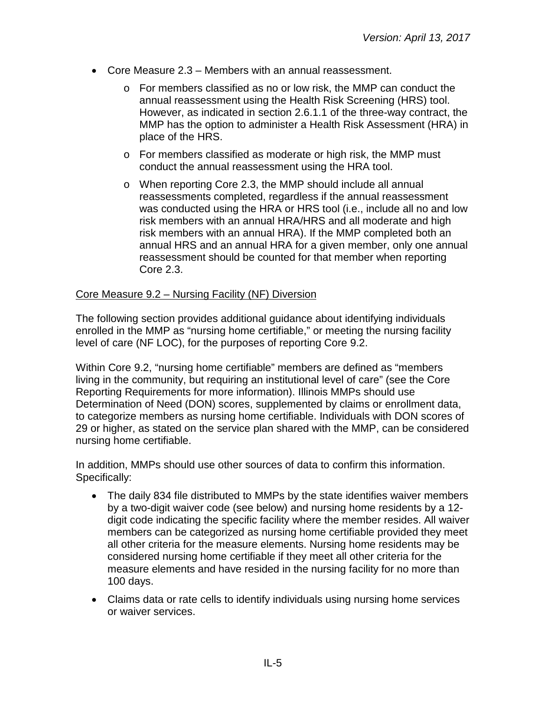- Core Measure 2.3 Members with an annual reassessment.
	- o For members classified as no or low risk, the MMP can conduct the annual reassessment using the Health Risk Screening (HRS) tool. However, as indicated in section 2.6.1.1 of the three-way contract, the MMP has the option to administer a Health Risk Assessment (HRA) in place of the HRS.
	- o For members classified as moderate or high risk, the MMP must conduct the annual reassessment using the HRA tool.
	- o When reporting Core 2.3, the MMP should include all annual reassessments completed, regardless if the annual reassessment was conducted using the HRA or HRS tool (i.e., include all no and low risk members with an annual HRA/HRS and all moderate and high risk members with an annual HRA). If the MMP completed both an annual HRS and an annual HRA for a given member, only one annual reassessment should be counted for that member when reporting Core 2.3.

#### Core Measure 9.2 – Nursing Facility (NF) Diversion

The following section provides additional guidance about identifying individuals enrolled in the MMP as "nursing home certifiable," or meeting the nursing facility level of care (NF LOC), for the purposes of reporting Core 9.2.

Within Core 9.2, "nursing home certifiable" members are defined as "members living in the community, but requiring an institutional level of care" (see the Core Reporting Requirements for more information). Illinois MMPs should use Determination of Need (DON) scores, supplemented by claims or enrollment data, to categorize members as nursing home certifiable. Individuals with DON scores of 29 or higher, as stated on the service plan shared with the MMP, can be considered nursing home certifiable.

In addition, MMPs should use other sources of data to confirm this information. Specifically:

- The daily 834 file distributed to MMPs by the state identifies waiver members by a two-digit waiver code (see below) and nursing home residents by a 12 digit code indicating the specific facility where the member resides. All waiver members can be categorized as nursing home certifiable provided they meet all other criteria for the measure elements. Nursing home residents may be considered nursing home certifiable if they meet all other criteria for the measure elements and have resided in the nursing facility for no more than 100 days.
- Claims data or rate cells to identify individuals using nursing home services or waiver services.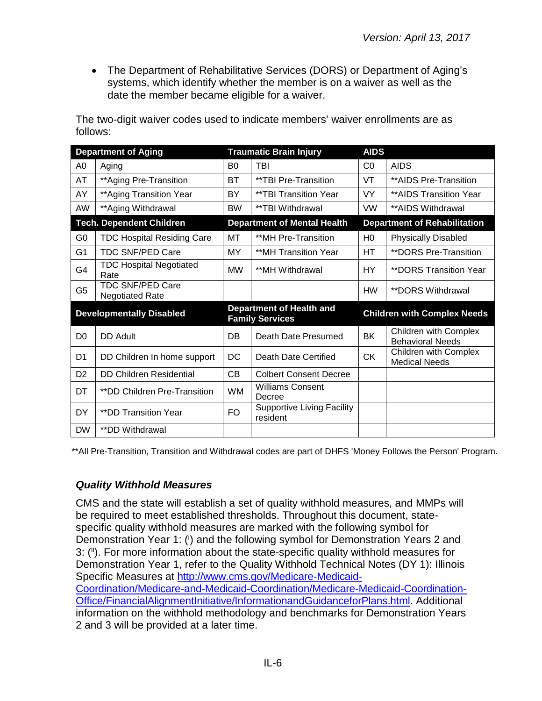• The Department of Rehabilitative Services (DORS) or Department of Aging's systems, which identify whether the member is on a waiver as well as the date the member became eligible for a waiver.

The two-digit waiver codes used to indicate members' waiver enrollments are as follows:

| <b>Department of Aging</b> |                                                   |                | <b>Traumatic Brain Injury</b>                      | <b>AIDS</b>    |                                                  |
|----------------------------|---------------------------------------------------|----------------|----------------------------------------------------|----------------|--------------------------------------------------|
| A0                         | Aging                                             | B <sub>0</sub> | TBI                                                | CO             | <b>AIDS</b>                                      |
| AT                         | ** Aging Pre-Transition                           | <b>BT</b>      | **TBI Pre-Transition                               | VT             | **AIDS Pre-Transition                            |
| AY                         | **Aging Transition Year                           | BY             | **TBI Transition Year                              | VY.            | ** AIDS Transition Year                          |
| AW                         | **Aging Withdrawal                                | <b>BW</b>      | **TBI Withdrawal                                   | <b>VW</b>      | **AIDS Withdrawal                                |
|                            | <b>Tech. Dependent Children</b>                   |                | <b>Department of Mental Health</b>                 |                | <b>Department of Rehabilitation</b>              |
| G <sub>0</sub>             | <b>TDC Hospital Residing Care</b>                 | МT             | **MH Pre-Transition                                | H <sub>0</sub> | <b>Physically Disabled</b>                       |
| G1                         | <b>TDC SNF/PED Care</b>                           | MY.            | **MH Transition Year                               | HТ             | <b>**DORS Pre-Transition</b>                     |
| G4                         | <b>TDC Hospital Negotiated</b><br>Rate            | <b>MW</b>      | **MH Withdrawal                                    | HY.            | <b>**DORS Transition Year</b>                    |
| G5                         | <b>TDC SNF/PED Care</b><br><b>Negotiated Rate</b> |                |                                                    | <b>HW</b>      | <i>**DORS Withdrawal</i>                         |
|                            | <b>Developmentally Disabled</b>                   |                | Department of Health and<br><b>Family Services</b> |                | <b>Children with Complex Needs</b>               |
| D <sub>0</sub>             | <b>DD Adult</b>                                   | DB             | Death Date Presumed                                | <b>BK</b>      | Children with Complex<br><b>Behavioral Needs</b> |
| D <sub>1</sub>             | DD Children In home support                       | <b>DC</b>      | Death Date Certified                               | <b>CK</b>      | Children with Complex<br><b>Medical Needs</b>    |
| D <sub>2</sub>             | <b>DD Children Residential</b>                    | <b>CB</b>      | <b>Colbert Consent Decree</b>                      |                |                                                  |
| DT                         | **DD Children Pre-Transition                      | <b>WM</b>      | <b>Williams Consent</b><br>Decree                  |                |                                                  |
| <b>DY</b>                  | <b>**DD Transition Year</b>                       | FO.            | <b>Supportive Living Facility</b><br>resident      |                |                                                  |
| <b>DW</b>                  | <i>**DD Withdrawal</i>                            |                |                                                    |                |                                                  |

\*\*All Pre-Transition, Transition and Withdrawal codes are part of DHFS 'Money Follows the Person' Program.

#### <span id="page-5-0"></span>*Quality Withhold Measures*

CMS and the state will establish a set of quality withhold measures, and MMPs will be required to meet established thresholds. Throughout this document, statespecific quality withhold measures are marked with the following symbol for Demonstration Year 1: (i) and the following symbol for Demonstration Years 2 and 3: (ii). For more information about the state-specific quality withhold measures for Demonstration Year 1, refer to the Quality Withhold Technical Notes (DY 1): Illinois Specific Measures at [http://www.cms.gov/Medicare-Medicaid-](http://www.cms.gov/Medicare-Medicaid-Coordination/Medicare-and-Medicaid-Coordination/Medicare-Medicaid-Coordination-Office/FinancialAlignmentInitiative/InformationandGuidanceforPlans.html)[Coordination/Medicare-and-Medicaid-Coordination/Medicare-Medicaid-Coordination-](http://www.cms.gov/Medicare-Medicaid-Coordination/Medicare-and-Medicaid-Coordination/Medicare-Medicaid-Coordination-Office/FinancialAlignmentInitiative/InformationandGuidanceforPlans.html)[Office/FinancialAlignmentInitiative/InformationandGuidanceforPlans.html.](http://www.cms.gov/Medicare-Medicaid-Coordination/Medicare-and-Medicaid-Coordination/Medicare-Medicaid-Coordination-Office/FinancialAlignmentInitiative/InformationandGuidanceforPlans.html) Additional information on the withhold methodology and benchmarks for Demonstration Years 2 and 3 will be provided at a later time.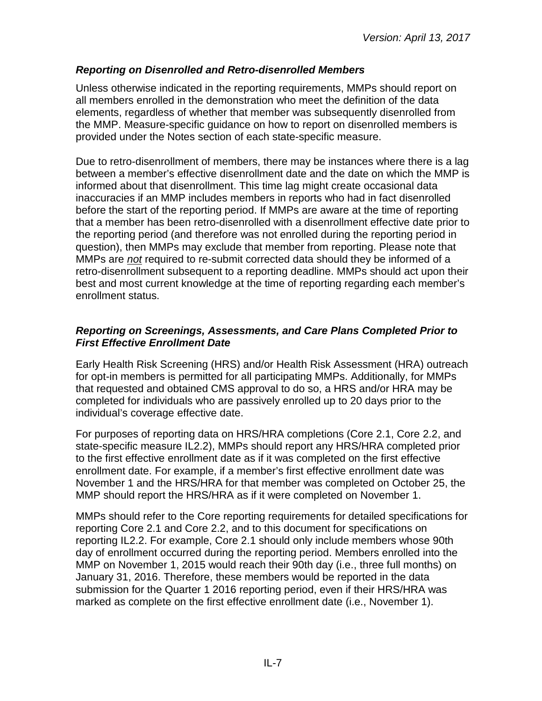## <span id="page-6-0"></span>*Reporting on Disenrolled and Retro-disenrolled Members*

Unless otherwise indicated in the reporting requirements, MMPs should report on all members enrolled in the demonstration who meet the definition of the data elements, regardless of whether that member was subsequently disenrolled from the MMP. Measure-specific guidance on how to report on disenrolled members is provided under the Notes section of each state-specific measure.

Due to retro-disenrollment of members, there may be instances where there is a lag between a member's effective disenrollment date and the date on which the MMP is informed about that disenrollment. This time lag might create occasional data inaccuracies if an MMP includes members in reports who had in fact disenrolled before the start of the reporting period. If MMPs are aware at the time of reporting that a member has been retro-disenrolled with a disenrollment effective date prior to the reporting period (and therefore was not enrolled during the reporting period in question), then MMPs may exclude that member from reporting. Please note that MMPs are *not* required to re-submit corrected data should they be informed of a retro-disenrollment subsequent to a reporting deadline. MMPs should act upon their best and most current knowledge at the time of reporting regarding each member's enrollment status.

#### <span id="page-6-1"></span>*Reporting on Screenings, Assessments, and Care Plans Completed Prior to First Effective Enrollment Date*

Early Health Risk Screening (HRS) and/or Health Risk Assessment (HRA) outreach for opt-in members is permitted for all participating MMPs. Additionally, for MMPs that requested and obtained CMS approval to do so, a HRS and/or HRA may be completed for individuals who are passively enrolled up to 20 days prior to the individual's coverage effective date.

For purposes of reporting data on HRS/HRA completions (Core 2.1, Core 2.2, and state-specific measure IL2.2), MMPs should report any HRS/HRA completed prior to the first effective enrollment date as if it was completed on the first effective enrollment date. For example, if a member's first effective enrollment date was November 1 and the HRS/HRA for that member was completed on October 25, the MMP should report the HRS/HRA as if it were completed on November 1.

MMPs should refer to the Core reporting requirements for detailed specifications for reporting Core 2.1 and Core 2.2, and to this document for specifications on reporting IL2.2. For example, Core 2.1 should only include members whose 90th day of enrollment occurred during the reporting period. Members enrolled into the MMP on November 1, 2015 would reach their 90th day (i.e., three full months) on January 31, 2016. Therefore, these members would be reported in the data submission for the Quarter 1 2016 reporting period, even if their HRS/HRA was marked as complete on the first effective enrollment date (i.e., November 1).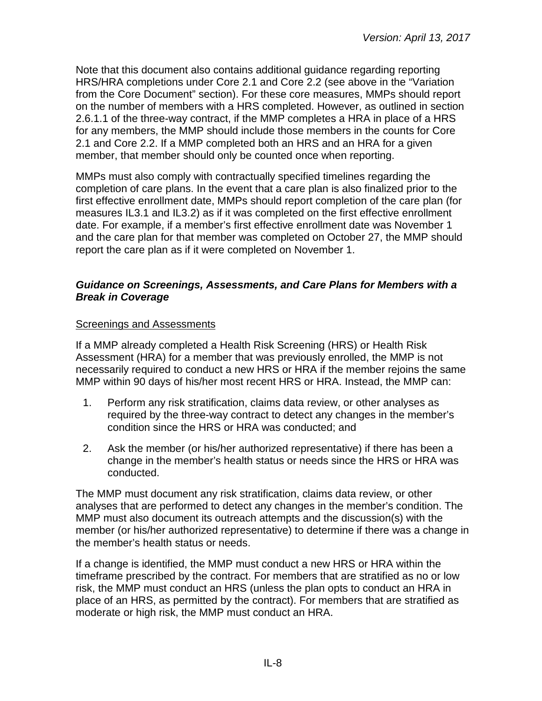Note that this document also contains additional guidance regarding reporting HRS/HRA completions under Core 2.1 and Core 2.2 (see above in the "Variation from the Core Document" section). For these core measures, MMPs should report on the number of members with a HRS completed. However, as outlined in section 2.6.1.1 of the three-way contract, if the MMP completes a HRA in place of a HRS for any members, the MMP should include those members in the counts for Core 2.1 and Core 2.2. If a MMP completed both an HRS and an HRA for a given member, that member should only be counted once when reporting.

MMPs must also comply with contractually specified timelines regarding the completion of care plans. In the event that a care plan is also finalized prior to the first effective enrollment date, MMPs should report completion of the care plan (for measures IL3.1 and IL3.2) as if it was completed on the first effective enrollment date. For example, if a member's first effective enrollment date was November 1 and the care plan for that member was completed on October 27, the MMP should report the care plan as if it were completed on November 1.

#### <span id="page-7-0"></span>*Guidance on Screenings, Assessments, and Care Plans for Members with a Break in Coverage*

#### Screenings and Assessments

If a MMP already completed a Health Risk Screening (HRS) or Health Risk Assessment (HRA) for a member that was previously enrolled, the MMP is not necessarily required to conduct a new HRS or HRA if the member rejoins the same MMP within 90 days of his/her most recent HRS or HRA. Instead, the MMP can:

- 1. Perform any risk stratification, claims data review, or other analyses as required by the three-way contract to detect any changes in the member's condition since the HRS or HRA was conducted; and
- 2. Ask the member (or his/her authorized representative) if there has been a change in the member's health status or needs since the HRS or HRA was conducted.

The MMP must document any risk stratification, claims data review, or other analyses that are performed to detect any changes in the member's condition. The MMP must also document its outreach attempts and the discussion(s) with the member (or his/her authorized representative) to determine if there was a change in the member's health status or needs.

If a change is identified, the MMP must conduct a new HRS or HRA within the timeframe prescribed by the contract. For members that are stratified as no or low risk, the MMP must conduct an HRS (unless the plan opts to conduct an HRA in place of an HRS, as permitted by the contract). For members that are stratified as moderate or high risk, the MMP must conduct an HRA.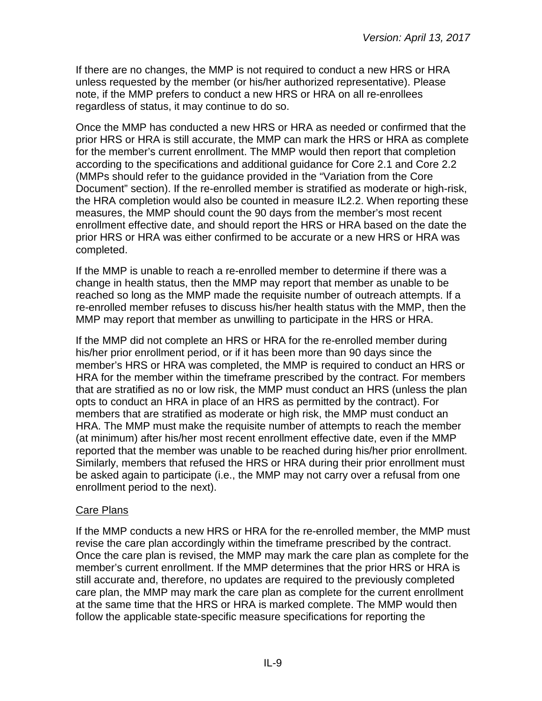If there are no changes, the MMP is not required to conduct a new HRS or HRA unless requested by the member (or his/her authorized representative). Please note, if the MMP prefers to conduct a new HRS or HRA on all re-enrollees regardless of status, it may continue to do so.

Once the MMP has conducted a new HRS or HRA as needed or confirmed that the prior HRS or HRA is still accurate, the MMP can mark the HRS or HRA as complete for the member's current enrollment. The MMP would then report that completion according to the specifications and additional guidance for Core 2.1 and Core 2.2 (MMPs should refer to the guidance provided in the "Variation from the Core Document" section). If the re-enrolled member is stratified as moderate or high-risk, the HRA completion would also be counted in measure IL2.2. When reporting these measures, the MMP should count the 90 days from the member's most recent enrollment effective date, and should report the HRS or HRA based on the date the prior HRS or HRA was either confirmed to be accurate or a new HRS or HRA was completed.

If the MMP is unable to reach a re-enrolled member to determine if there was a change in health status, then the MMP may report that member as unable to be reached so long as the MMP made the requisite number of outreach attempts. If a re-enrolled member refuses to discuss his/her health status with the MMP, then the MMP may report that member as unwilling to participate in the HRS or HRA.

If the MMP did not complete an HRS or HRA for the re-enrolled member during his/her prior enrollment period, or if it has been more than 90 days since the member's HRS or HRA was completed, the MMP is required to conduct an HRS or HRA for the member within the timeframe prescribed by the contract. For members that are stratified as no or low risk, the MMP must conduct an HRS (unless the plan opts to conduct an HRA in place of an HRS as permitted by the contract). For members that are stratified as moderate or high risk, the MMP must conduct an HRA. The MMP must make the requisite number of attempts to reach the member (at minimum) after his/her most recent enrollment effective date, even if the MMP reported that the member was unable to be reached during his/her prior enrollment. Similarly, members that refused the HRS or HRA during their prior enrollment must be asked again to participate (i.e., the MMP may not carry over a refusal from one enrollment period to the next).

#### Care Plans

If the MMP conducts a new HRS or HRA for the re-enrolled member, the MMP must revise the care plan accordingly within the timeframe prescribed by the contract. Once the care plan is revised, the MMP may mark the care plan as complete for the member's current enrollment. If the MMP determines that the prior HRS or HRA is still accurate and, therefore, no updates are required to the previously completed care plan, the MMP may mark the care plan as complete for the current enrollment at the same time that the HRS or HRA is marked complete. The MMP would then follow the applicable state-specific measure specifications for reporting the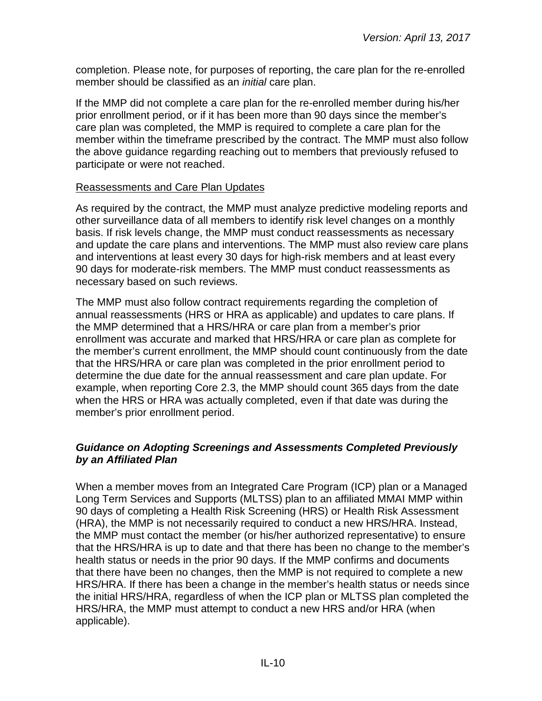completion. Please note, for purposes of reporting, the care plan for the re-enrolled member should be classified as an *initial* care plan.

If the MMP did not complete a care plan for the re-enrolled member during his/her prior enrollment period, or if it has been more than 90 days since the member's care plan was completed, the MMP is required to complete a care plan for the member within the timeframe prescribed by the contract. The MMP must also follow the above guidance regarding reaching out to members that previously refused to participate or were not reached.

#### Reassessments and Care Plan Updates

As required by the contract, the MMP must analyze predictive modeling reports and other surveillance data of all members to identify risk level changes on a monthly basis. If risk levels change, the MMP must conduct reassessments as necessary and update the care plans and interventions. The MMP must also review care plans and interventions at least every 30 days for high-risk members and at least every 90 days for moderate-risk members. The MMP must conduct reassessments as necessary based on such reviews.

The MMP must also follow contract requirements regarding the completion of annual reassessments (HRS or HRA as applicable) and updates to care plans. If the MMP determined that a HRS/HRA or care plan from a member's prior enrollment was accurate and marked that HRS/HRA or care plan as complete for the member's current enrollment, the MMP should count continuously from the date that the HRS/HRA or care plan was completed in the prior enrollment period to determine the due date for the annual reassessment and care plan update. For example, when reporting Core 2.3, the MMP should count 365 days from the date when the HRS or HRA was actually completed, even if that date was during the member's prior enrollment period.

#### <span id="page-9-0"></span>*Guidance on Adopting Screenings and Assessments Completed Previously by an Affiliated Plan*

When a member moves from an Integrated Care Program (ICP) plan or a Managed Long Term Services and Supports (MLTSS) plan to an affiliated MMAI MMP within 90 days of completing a Health Risk Screening (HRS) or Health Risk Assessment (HRA), the MMP is not necessarily required to conduct a new HRS/HRA. Instead, the MMP must contact the member (or his/her authorized representative) to ensure that the HRS/HRA is up to date and that there has been no change to the member's health status or needs in the prior 90 days. If the MMP confirms and documents that there have been no changes, then the MMP is not required to complete a new HRS/HRA. If there has been a change in the member's health status or needs since the initial HRS/HRA, regardless of when the ICP plan or MLTSS plan completed the HRS/HRA, the MMP must attempt to conduct a new HRS and/or HRA (when applicable).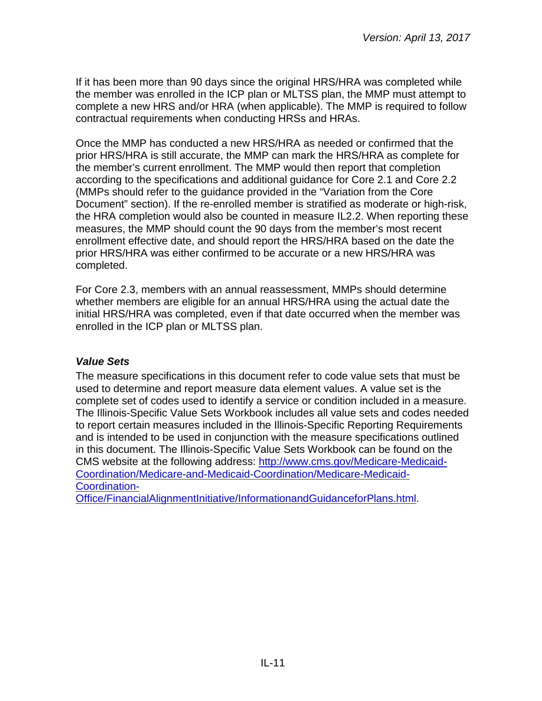If it has been more than 90 days since the original HRS/HRA was completed while the member was enrolled in the ICP plan or MLTSS plan, the MMP must attempt to complete a new HRS and/or HRA (when applicable). The MMP is required to follow contractual requirements when conducting HRSs and HRAs.

Once the MMP has conducted a new HRS/HRA as needed or confirmed that the prior HRS/HRA is still accurate, the MMP can mark the HRS/HRA as complete for the member's current enrollment. The MMP would then report that completion according to the specifications and additional guidance for Core 2.1 and Core 2.2 (MMPs should refer to the guidance provided in the "Variation from the Core Document" section). If the re-enrolled member is stratified as moderate or high-risk, the HRA completion would also be counted in measure IL2.2. When reporting these measures, the MMP should count the 90 days from the member's most recent enrollment effective date, and should report the HRS/HRA based on the date the prior HRS/HRA was either confirmed to be accurate or a new HRS/HRA was completed.

For Core 2.3, members with an annual reassessment, MMPs should determine whether members are eligible for an annual HRS/HRA using the actual date the initial HRS/HRA was completed, even if that date occurred when the member was enrolled in the ICP plan or MLTSS plan.

#### <span id="page-10-0"></span>*Value Sets*

The measure specifications in this document refer to code value sets that must be used to determine and report measure data element values. A value set is the complete set of codes used to identify a service or condition included in a measure. The Illinois-Specific Value Sets Workbook includes all value sets and codes needed to report certain measures included in the Illinois-Specific Reporting Requirements and is intended to be used in conjunction with the measure specifications outlined in this document. The Illinois-Specific Value Sets Workbook can be found on the CMS website at the following address: [http://www.cms.gov/Medicare-Medicaid-](http://www.cms.gov/Medicare-Medicaid-Coordination/Medicare-and-Medicaid-Coordination/Medicare-Medicaid-Coordination-Office/FinancialAlignmentInitiative/InformationandGuidanceforPlans.html)[Coordination/Medicare-and-Medicaid-Coordination/Medicare-Medicaid-](http://www.cms.gov/Medicare-Medicaid-Coordination/Medicare-and-Medicaid-Coordination/Medicare-Medicaid-Coordination-Office/FinancialAlignmentInitiative/InformationandGuidanceforPlans.html)[Coordination-](http://www.cms.gov/Medicare-Medicaid-Coordination/Medicare-and-Medicaid-Coordination/Medicare-Medicaid-Coordination-Office/FinancialAlignmentInitiative/InformationandGuidanceforPlans.html)

<span id="page-10-1"></span>[Office/FinancialAlignmentInitiative/InformationandGuidanceforPlans.html.](http://www.cms.gov/Medicare-Medicaid-Coordination/Medicare-and-Medicaid-Coordination/Medicare-Medicaid-Coordination-Office/FinancialAlignmentInitiative/InformationandGuidanceforPlans.html)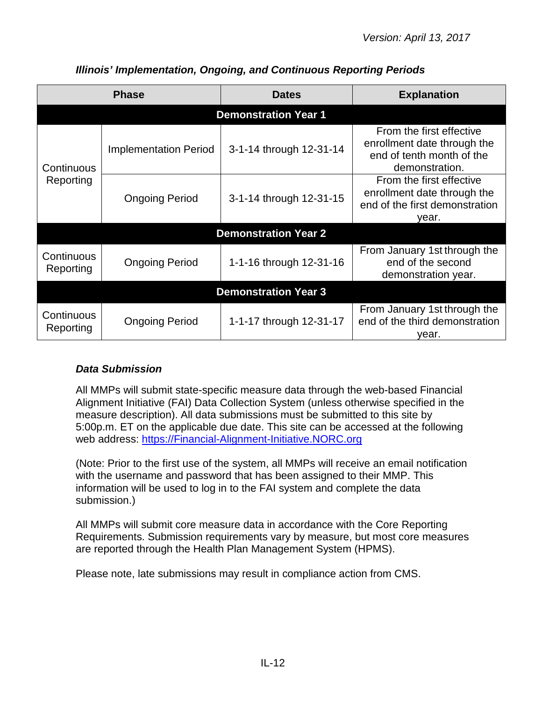|                             | <b>Phase</b>                 | <b>Dates</b>                | <b>Explanation</b>                                                                                     |  |  |
|-----------------------------|------------------------------|-----------------------------|--------------------------------------------------------------------------------------------------------|--|--|
|                             |                              | <b>Demonstration Year 1</b> |                                                                                                        |  |  |
| Continuous                  | <b>Implementation Period</b> | 3-1-14 through 12-31-14     | From the first effective<br>enrollment date through the<br>end of tenth month of the<br>demonstration. |  |  |
| Reporting                   | <b>Ongoing Period</b>        | 3-1-14 through 12-31-15     | From the first effective<br>enrollment date through the<br>end of the first demonstration<br>year.     |  |  |
|                             |                              | <b>Demonstration Year 2</b> |                                                                                                        |  |  |
| Continuous<br>Reporting     | <b>Ongoing Period</b>        | 1-1-16 through 12-31-16     | From January 1st through the<br>end of the second<br>demonstration year.                               |  |  |
| <b>Demonstration Year 3</b> |                              |                             |                                                                                                        |  |  |
| Continuous<br>Reporting     | <b>Ongoing Period</b>        | 1-1-17 through 12-31-17     | From January 1st through the<br>end of the third demonstration<br>vear.                                |  |  |

## *Illinois' Implementation, Ongoing, and Continuous Reporting Periods*

## <span id="page-11-0"></span>*Data Submission*

All MMPs will submit state-specific measure data through the web-based Financial Alignment Initiative (FAI) Data Collection System (unless otherwise specified in the measure description). All data submissions must be submitted to this site by 5:00p.m. ET on the applicable due date. This site can be accessed at the following web address: [https://Financial-Alignment-Initiative.NORC.org](https://financial-alignment-initiative.norc.org/)

(Note: Prior to the first use of the system, all MMPs will receive an email notification with the username and password that has been assigned to their MMP. This information will be used to log in to the FAI system and complete the data submission.)

All MMPs will submit core measure data in accordance with the Core Reporting Requirements. Submission requirements vary by measure, but most core measures are reported through the Health Plan Management System (HPMS).

<span id="page-11-1"></span>Please note, late submissions may result in compliance action from CMS.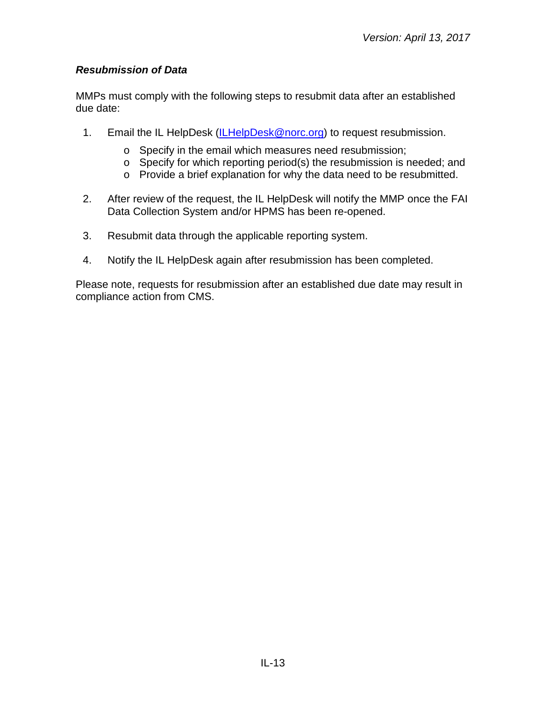## *Resubmission of Data*

MMPs must comply with the following steps to resubmit data after an established due date:

- 1. Email the IL HelpDesk [\(ILHelpDesk@norc.org\)](mailto:ILHelpDesk@norc.org) to request resubmission.
	- o Specify in the email which measures need resubmission;
	- o Specify for which reporting period(s) the resubmission is needed; and
	- o Provide a brief explanation for why the data need to be resubmitted.
- 2. After review of the request, the IL HelpDesk will notify the MMP once the FAI Data Collection System and/or HPMS has been re-opened.
- 3. Resubmit data through the applicable reporting system.
- 4. Notify the IL HelpDesk again after resubmission has been completed.

Please note, requests for resubmission after an established due date may result in compliance action from CMS.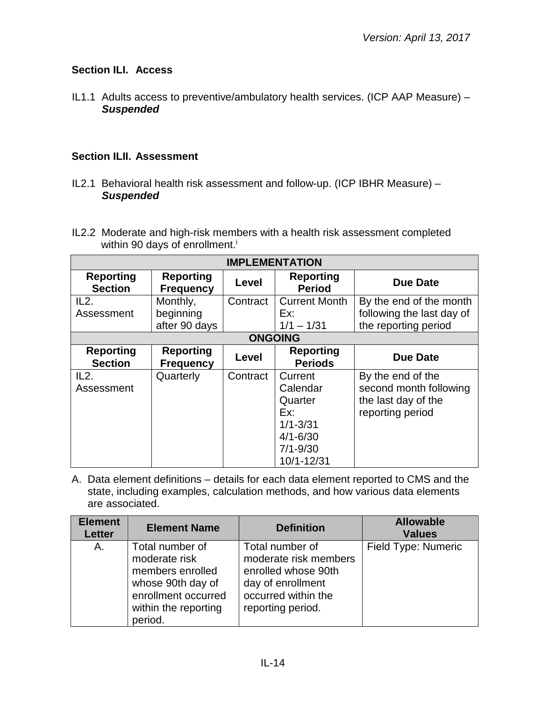## <span id="page-13-0"></span>**Section ILI. Access**

IL1.1 Adults access to preventive/ambulatory health services. (ICP AAP Measure) – *Suspended*

## <span id="page-13-1"></span>**Section ILII. Assessment**

- IL2.1 Behavioral health risk assessment and follow-up. (ICP IBHR Measure) *Suspended*
- IL2.2 Moderate and high-risk members with a health risk assessment completed within 90 days of enrollment.<sup>i</sup>

| <b>IMPLEMENTATION</b>              |                                      |          |                                    |                           |  |
|------------------------------------|--------------------------------------|----------|------------------------------------|---------------------------|--|
| <b>Reporting</b><br><b>Section</b> | <b>Reporting</b><br><b>Frequency</b> | Level    | <b>Reporting</b><br><b>Period</b>  | <b>Due Date</b>           |  |
| IL2.                               | Monthly,                             | Contract | <b>Current Month</b>               | By the end of the month   |  |
| Assessment                         | beginning                            |          | Ex:                                | following the last day of |  |
|                                    | after 90 days                        |          | $1/1 - 1/31$                       | the reporting period      |  |
|                                    |                                      |          | <b>ONGOING</b>                     |                           |  |
| <b>Reporting</b><br><b>Section</b> | <b>Reporting</b><br><b>Frequency</b> | Level    | <b>Reporting</b><br><b>Periods</b> | <b>Due Date</b>           |  |
| IL2.                               | Quarterly                            | Contract | Current                            | By the end of the         |  |
| Assessment                         |                                      |          | Calendar                           | second month following    |  |
|                                    |                                      |          | Quarter                            | the last day of the       |  |
|                                    |                                      |          | Ex:                                | reporting period          |  |
|                                    |                                      |          | $1/1 - 3/31$                       |                           |  |
|                                    |                                      |          | $4/1 - 6/30$                       |                           |  |
|                                    |                                      |          | $7/1 - 9/30$                       |                           |  |
|                                    |                                      |          | 10/1-12/31                         |                           |  |

| <b>Element</b><br><b>Letter</b> | <b>Element Name</b>                                                                                                                 | <b>Definition</b>                                                                                                                | <b>Allowable</b><br><b>Values</b> |
|---------------------------------|-------------------------------------------------------------------------------------------------------------------------------------|----------------------------------------------------------------------------------------------------------------------------------|-----------------------------------|
| А.                              | Total number of<br>moderate risk<br>members enrolled<br>whose 90th day of<br>enrollment occurred<br>within the reporting<br>period. | Total number of<br>moderate risk members<br>enrolled whose 90th<br>day of enrollment<br>occurred within the<br>reporting period. | Field Type: Numeric               |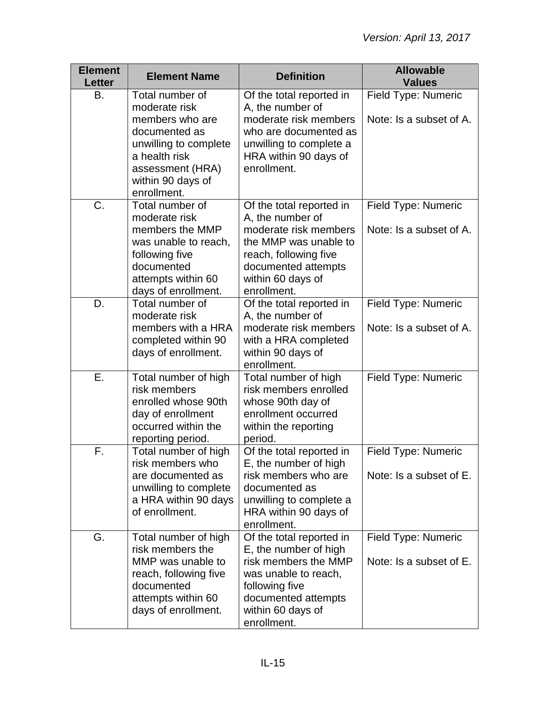| <b>Element</b><br>Letter | <b>Element Name</b>                                                                                                                                                    | <b>Definition</b>                                                                                                                                                                  | <b>Allowable</b><br><b>Values</b>              |
|--------------------------|------------------------------------------------------------------------------------------------------------------------------------------------------------------------|------------------------------------------------------------------------------------------------------------------------------------------------------------------------------------|------------------------------------------------|
| В.                       | Total number of<br>moderate risk<br>members who are<br>documented as<br>unwilling to complete<br>a health risk<br>assessment (HRA)<br>within 90 days of<br>enrollment. | Of the total reported in<br>A, the number of<br>moderate risk members<br>who are documented as<br>unwilling to complete a<br>HRA within 90 days of<br>enrollment.                  | Field Type: Numeric<br>Note: Is a subset of A. |
| C.                       | Total number of<br>moderate risk<br>members the MMP<br>was unable to reach,<br>following five<br>documented<br>attempts within 60<br>days of enrollment.               | Of the total reported in<br>A, the number of<br>moderate risk members<br>the MMP was unable to<br>reach, following five<br>documented attempts<br>within 60 days of<br>enrollment. | Field Type: Numeric<br>Note: Is a subset of A. |
| D.                       | Total number of<br>moderate risk<br>members with a HRA<br>completed within 90<br>days of enrollment.                                                                   | Of the total reported in<br>A, the number of<br>moderate risk members<br>with a HRA completed<br>within 90 days of<br>enrollment.                                                  | Field Type: Numeric<br>Note: Is a subset of A. |
| Ε.                       | Total number of high<br>risk members<br>enrolled whose 90th<br>day of enrollment<br>occurred within the<br>reporting period.                                           | Total number of high<br>risk members enrolled<br>whose 90th day of<br>enrollment occurred<br>within the reporting<br>period.                                                       | Field Type: Numeric                            |
| F.                       | Total number of high<br>risk members who<br>are documented as<br>unwilling to complete<br>a HRA within 90 days<br>of enrollment.                                       | Of the total reported in<br>E, the number of high<br>risk members who are<br>documented as<br>unwilling to complete a<br>HRA within 90 days of<br>enrollment.                      | Field Type: Numeric<br>Note: Is a subset of E. |
| G.                       | Total number of high<br>risk members the<br>MMP was unable to<br>reach, following five<br>documented<br>attempts within 60<br>days of enrollment.                      | Of the total reported in<br>E, the number of high<br>risk members the MMP<br>was unable to reach,<br>following five<br>documented attempts<br>within 60 days of<br>enrollment.     | Field Type: Numeric<br>Note: Is a subset of E. |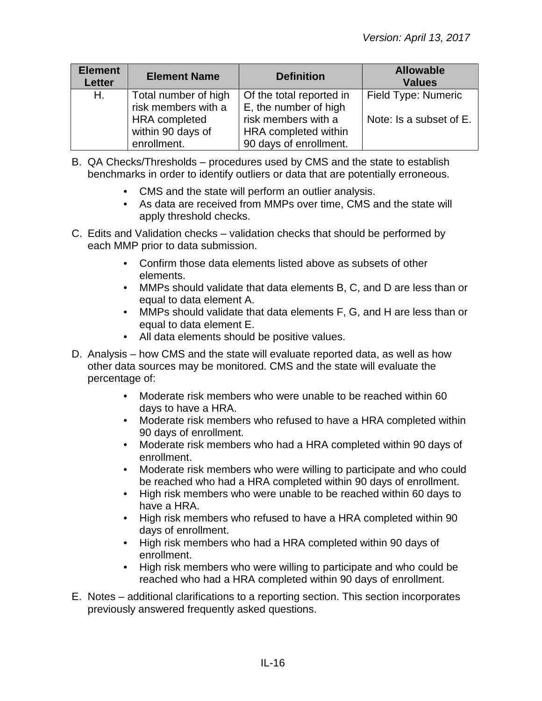| <b>Element</b><br><b>Letter</b> | <b>Element Name</b>                         | <b>Definition</b>                                 | <b>Allowable</b><br><b>Values</b> |
|---------------------------------|---------------------------------------------|---------------------------------------------------|-----------------------------------|
| Н.                              | Total number of high<br>risk members with a | Of the total reported in<br>E, the number of high | Field Type: Numeric               |
|                                 | <b>HRA</b> completed                        | risk members with a                               | Note: Is a subset of E.           |
|                                 | within 90 days of                           | HRA completed within                              |                                   |
|                                 | enrollment.                                 | 90 days of enrollment.                            |                                   |

- B. QA Checks/Thresholds procedures used by CMS and the state to establish benchmarks in order to identify outliers or data that are potentially erroneous.
	- CMS and the state will perform an outlier analysis.
	- As data are received from MMPs over time, CMS and the state will apply threshold checks.
- C. Edits and Validation checks validation checks that should be performed by each MMP prior to data submission.
	- Confirm those data elements listed above as subsets of other elements.
	- MMPs should validate that data elements B, C, and D are less than or equal to data element A.
	- MMPs should validate that data elements F, G, and H are less than or equal to data element E.
	- All data elements should be positive values.
- D. Analysis how CMS and the state will evaluate reported data, as well as how other data sources may be monitored. CMS and the state will evaluate the percentage of:
	- Moderate risk members who were unable to be reached within 60 days to have a HRA.
	- Moderate risk members who refused to have a HRA completed within 90 days of enrollment.
	- Moderate risk members who had a HRA completed within 90 days of enrollment.
	- Moderate risk members who were willing to participate and who could be reached who had a HRA completed within 90 days of enrollment.
	- High risk members who were unable to be reached within 60 days to have a HRA.
	- High risk members who refused to have a HRA completed within 90 days of enrollment.
	- High risk members who had a HRA completed within 90 days of enrollment.
	- High risk members who were willing to participate and who could be reached who had a HRA completed within 90 days of enrollment.
- E. Notes additional clarifications to a reporting section. This section incorporates previously answered frequently asked questions.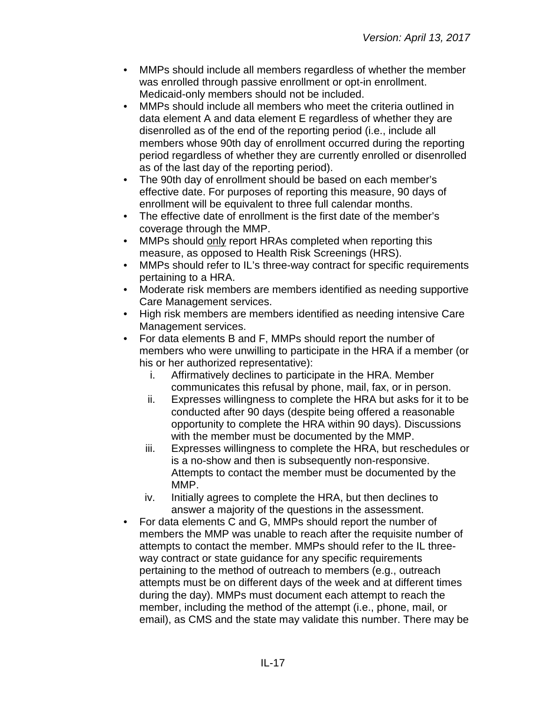- MMPs should include all members regardless of whether the member was enrolled through passive enrollment or opt-in enrollment. Medicaid-only members should not be included.
- MMPs should include all members who meet the criteria outlined in data element A and data element E regardless of whether they are disenrolled as of the end of the reporting period (i.e., include all members whose 90th day of enrollment occurred during the reporting period regardless of whether they are currently enrolled or disenrolled as of the last day of the reporting period).
- The 90th day of enrollment should be based on each member's effective date. For purposes of reporting this measure, 90 days of enrollment will be equivalent to three full calendar months.
- The effective date of enrollment is the first date of the member's coverage through the MMP.
- MMPs should only report HRAs completed when reporting this measure, as opposed to Health Risk Screenings (HRS).
- MMPs should refer to IL's three-way contract for specific requirements pertaining to a HRA.
- Moderate risk members are members identified as needing supportive Care Management services.
- High risk members are members identified as needing intensive Care Management services.
- For data elements B and F, MMPs should report the number of members who were unwilling to participate in the HRA if a member (or his or her authorized representative):
	- i. Affirmatively declines to participate in the HRA. Member communicates this refusal by phone, mail, fax, or in person.
	- ii. Expresses willingness to complete the HRA but asks for it to be conducted after 90 days (despite being offered a reasonable opportunity to complete the HRA within 90 days). Discussions with the member must be documented by the MMP.
	- iii. Expresses willingness to complete the HRA, but reschedules or is a no-show and then is subsequently non-responsive. Attempts to contact the member must be documented by the MMP.
	- iv. Initially agrees to complete the HRA, but then declines to answer a majority of the questions in the assessment.
- For data elements C and G, MMPs should report the number of members the MMP was unable to reach after the requisite number of attempts to contact the member. MMPs should refer to the IL threeway contract or state guidance for any specific requirements pertaining to the method of outreach to members (e.g., outreach attempts must be on different days of the week and at different times during the day). MMPs must document each attempt to reach the member, including the method of the attempt (i.e., phone, mail, or email), as CMS and the state may validate this number. There may be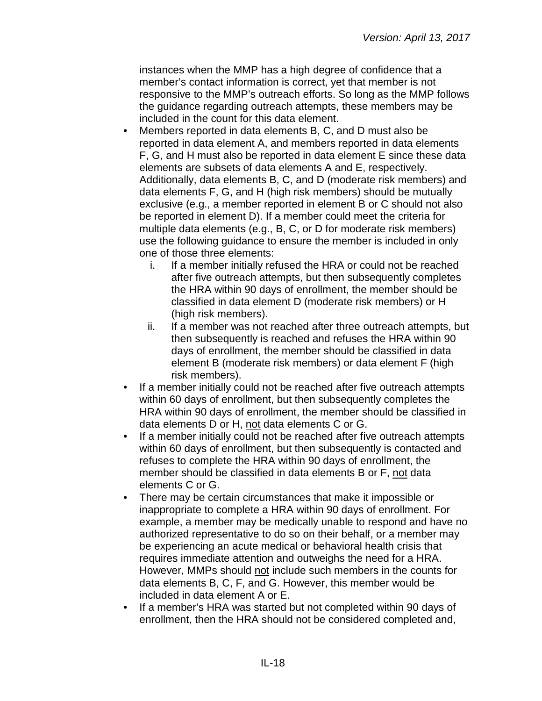instances when the MMP has a high degree of confidence that a member's contact information is correct, yet that member is not responsive to the MMP's outreach efforts. So long as the MMP follows the guidance regarding outreach attempts, these members may be included in the count for this data element.

- Members reported in data elements B, C, and D must also be reported in data element A, and members reported in data elements F, G, and H must also be reported in data element E since these data elements are subsets of data elements A and E, respectively. Additionally, data elements B, C, and D (moderate risk members) and data elements F, G, and H (high risk members) should be mutually exclusive (e.g., a member reported in element B or C should not also be reported in element D). If a member could meet the criteria for multiple data elements (e.g., B, C, or D for moderate risk members) use the following guidance to ensure the member is included in only one of those three elements:
	- i. If a member initially refused the HRA or could not be reached after five outreach attempts, but then subsequently completes the HRA within 90 days of enrollment, the member should be classified in data element D (moderate risk members) or H (high risk members).
	- ii. If a member was not reached after three outreach attempts, but then subsequently is reached and refuses the HRA within 90 days of enrollment, the member should be classified in data element B (moderate risk members) or data element F (high risk members).
- If a member initially could not be reached after five outreach attempts within 60 days of enrollment, but then subsequently completes the HRA within 90 days of enrollment, the member should be classified in data elements D or H, not data elements C or G.
- If a member initially could not be reached after five outreach attempts within 60 days of enrollment, but then subsequently is contacted and refuses to complete the HRA within 90 days of enrollment, the member should be classified in data elements B or F, not data elements C or G.
- There may be certain circumstances that make it impossible or inappropriate to complete a HRA within 90 days of enrollment. For example, a member may be medically unable to respond and have no authorized representative to do so on their behalf, or a member may be experiencing an acute medical or behavioral health crisis that requires immediate attention and outweighs the need for a HRA. However, MMPs should not include such members in the counts for data elements B, C, F, and G. However, this member would be included in data element A or E.
- If a member's HRA was started but not completed within 90 days of enrollment, then the HRA should not be considered completed and,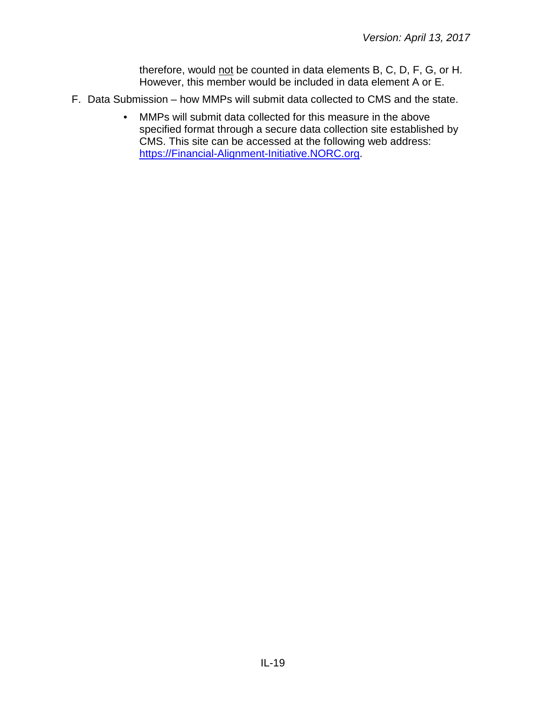therefore, would not be counted in data elements B, C, D, F, G, or H. However, this member would be included in data element A or E.

- F. Data Submission how MMPs will submit data collected to CMS and the state.
	- MMPs will submit data collected for this measure in the above specified format through a secure data collection site established by CMS. This site can be accessed at the following web address: [https://Financial-Alignment-Initiative.NORC.org.](https://financial-alignment-initiative.norc.org/)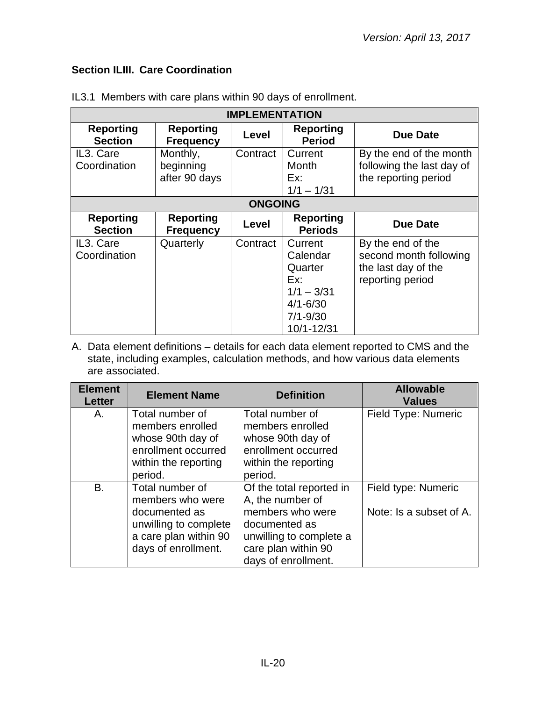## <span id="page-19-0"></span>**Section ILIII. Care Coordination**

| <b>IMPLEMENTATION</b>              |                                        |                |                                                                                                     |                                                                                        |  |
|------------------------------------|----------------------------------------|----------------|-----------------------------------------------------------------------------------------------------|----------------------------------------------------------------------------------------|--|
| <b>Reporting</b><br><b>Section</b> | <b>Reporting</b><br><b>Frequency</b>   | Level          | <b>Reporting</b><br><b>Period</b>                                                                   | <b>Due Date</b>                                                                        |  |
| IL3. Care<br>Coordination          | Monthly,<br>beginning<br>after 90 days | Contract       | Current<br>Month<br>Ex:<br>$1/1 - 1/31$                                                             | By the end of the month<br>following the last day of<br>the reporting period           |  |
|                                    |                                        | <b>ONGOING</b> |                                                                                                     |                                                                                        |  |
| <b>Reporting</b><br><b>Section</b> | <b>Reporting</b><br><b>Frequency</b>   | Level          | <b>Reporting</b><br><b>Periods</b>                                                                  | <b>Due Date</b>                                                                        |  |
| IL3. Care<br>Coordination          | Quarterly                              | Contract       | Current<br>Calendar<br>Quarter<br>Ex:<br>$1/1 - 3/31$<br>$4/1 - 6/30$<br>$7/1 - 9/30$<br>10/1-12/31 | By the end of the<br>second month following<br>the last day of the<br>reporting period |  |

IL3.1 Members with care plans within 90 days of enrollment.

| <b>Element</b><br><b>Letter</b> | <b>Element Name</b>                                                                                                           | <b>Definition</b>                                                                                                                                          | <b>Allowable</b><br><b>Values</b>              |
|---------------------------------|-------------------------------------------------------------------------------------------------------------------------------|------------------------------------------------------------------------------------------------------------------------------------------------------------|------------------------------------------------|
| А.                              | Total number of<br>members enrolled<br>whose 90th day of<br>enrollment occurred<br>within the reporting<br>period.            | Total number of<br>members enrolled<br>whose 90th day of<br>enrollment occurred<br>within the reporting<br>period.                                         | Field Type: Numeric                            |
| B.                              | Total number of<br>members who were<br>documented as<br>unwilling to complete<br>a care plan within 90<br>days of enrollment. | Of the total reported in<br>A, the number of<br>members who were<br>documented as<br>unwilling to complete a<br>care plan within 90<br>days of enrollment. | Field type: Numeric<br>Note: Is a subset of A. |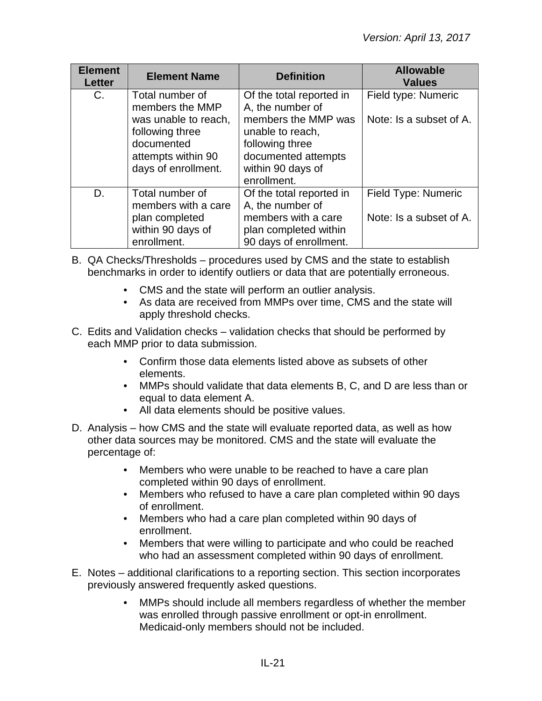| <b>Element</b><br><b>Letter</b> | <b>Element Name</b>                                                                                | <b>Definition</b>                                                                                                      | <b>Allowable</b><br><b>Values</b>              |
|---------------------------------|----------------------------------------------------------------------------------------------------|------------------------------------------------------------------------------------------------------------------------|------------------------------------------------|
| C.                              | Total number of<br>members the MMP                                                                 | Of the total reported in<br>A, the number of                                                                           | Field type: Numeric                            |
|                                 | was unable to reach,<br>following three<br>documented<br>attempts within 90<br>days of enrollment. | members the MMP was<br>unable to reach,<br>following three<br>documented attempts<br>within 90 days of<br>enrollment.  | Note: Is a subset of A.                        |
| D.                              | Total number of<br>members with a care<br>plan completed<br>within 90 days of<br>enrollment.       | Of the total reported in<br>A, the number of<br>members with a care<br>plan completed within<br>90 days of enrollment. | Field Type: Numeric<br>Note: Is a subset of A. |

- B. QA Checks/Thresholds procedures used by CMS and the state to establish benchmarks in order to identify outliers or data that are potentially erroneous.
	- CMS and the state will perform an outlier analysis.
	- As data are received from MMPs over time, CMS and the state will apply threshold checks.
- C. Edits and Validation checks validation checks that should be performed by each MMP prior to data submission.
	- Confirm those data elements listed above as subsets of other elements.
	- MMPs should validate that data elements B, C, and D are less than or equal to data element A.
	- All data elements should be positive values.
- D. Analysis how CMS and the state will evaluate reported data, as well as how other data sources may be monitored. CMS and the state will evaluate the percentage of:
	- Members who were unable to be reached to have a care plan completed within 90 days of enrollment.
	- Members who refused to have a care plan completed within 90 days of enrollment.
	- Members who had a care plan completed within 90 days of enrollment.
	- Members that were willing to participate and who could be reached who had an assessment completed within 90 days of enrollment.
- E. Notes additional clarifications to a reporting section. This section incorporates previously answered frequently asked questions.
	- MMPs should include all members regardless of whether the member was enrolled through passive enrollment or opt-in enrollment. Medicaid-only members should not be included.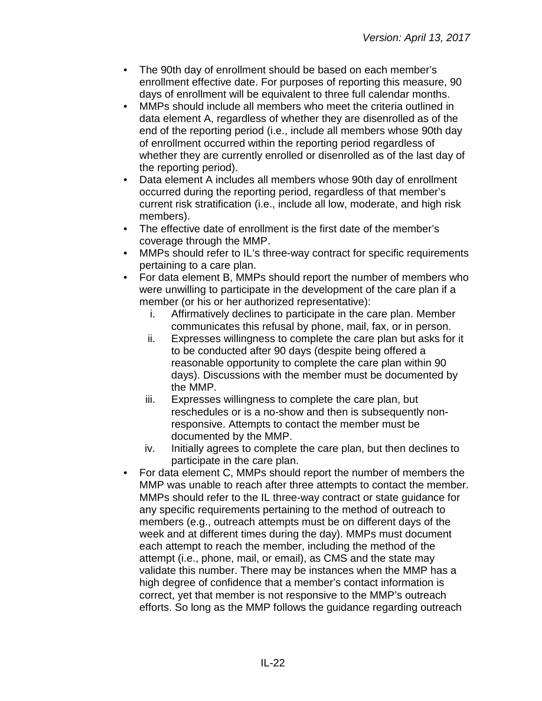- The 90th day of enrollment should be based on each member's enrollment effective date. For purposes of reporting this measure, 90 days of enrollment will be equivalent to three full calendar months.
- MMPs should include all members who meet the criteria outlined in data element A, regardless of whether they are disenrolled as of the end of the reporting period (i.e., include all members whose 90th day of enrollment occurred within the reporting period regardless of whether they are currently enrolled or disenrolled as of the last day of the reporting period).
- Data element A includes all members whose 90th day of enrollment occurred during the reporting period, regardless of that member's current risk stratification (i.e., include all low, moderate, and high risk members).
- The effective date of enrollment is the first date of the member's coverage through the MMP.
- MMPs should refer to IL's three-way contract for specific requirements pertaining to a care plan.
- For data element B, MMPs should report the number of members who were unwilling to participate in the development of the care plan if a member (or his or her authorized representative):
	- i. Affirmatively declines to participate in the care plan. Member communicates this refusal by phone, mail, fax, or in person.
	- ii. Expresses willingness to complete the care plan but asks for it to be conducted after 90 days (despite being offered a reasonable opportunity to complete the care plan within 90 days). Discussions with the member must be documented by the MMP.
	- iii. Expresses willingness to complete the care plan, but reschedules or is a no-show and then is subsequently nonresponsive. Attempts to contact the member must be documented by the MMP.
	- iv. Initially agrees to complete the care plan, but then declines to participate in the care plan.
- For data element C, MMPs should report the number of members the MMP was unable to reach after three attempts to contact the member. MMPs should refer to the IL three-way contract or state guidance for any specific requirements pertaining to the method of outreach to members (e.g., outreach attempts must be on different days of the week and at different times during the day). MMPs must document each attempt to reach the member, including the method of the attempt (i.e., phone, mail, or email), as CMS and the state may validate this number. There may be instances when the MMP has a high degree of confidence that a member's contact information is correct, yet that member is not responsive to the MMP's outreach efforts. So long as the MMP follows the guidance regarding outreach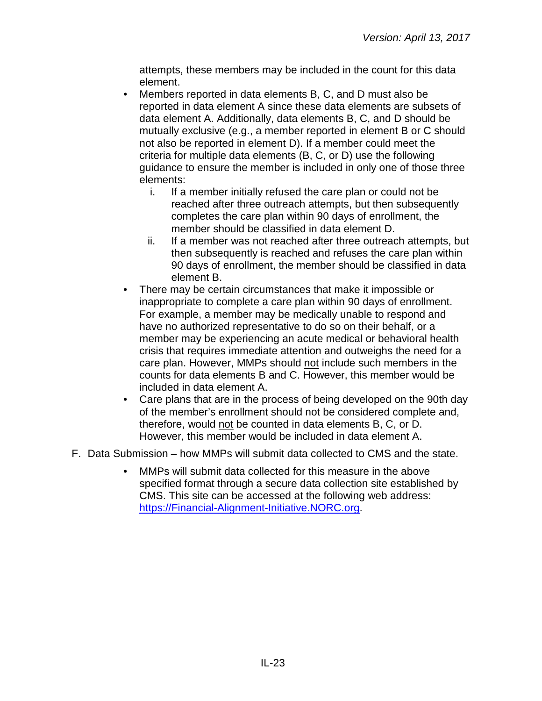attempts, these members may be included in the count for this data element.

- Members reported in data elements B, C, and D must also be reported in data element A since these data elements are subsets of data element A. Additionally, data elements B, C, and D should be mutually exclusive (e.g., a member reported in element B or C should not also be reported in element D). If a member could meet the criteria for multiple data elements (B, C, or D) use the following guidance to ensure the member is included in only one of those three elements:
	- i. If a member initially refused the care plan or could not be reached after three outreach attempts, but then subsequently completes the care plan within 90 days of enrollment, the member should be classified in data element D.
	- ii. If a member was not reached after three outreach attempts, but then subsequently is reached and refuses the care plan within 90 days of enrollment, the member should be classified in data element B.
- There may be certain circumstances that make it impossible or inappropriate to complete a care plan within 90 days of enrollment. For example, a member may be medically unable to respond and have no authorized representative to do so on their behalf, or a member may be experiencing an acute medical or behavioral health crisis that requires immediate attention and outweighs the need for a care plan. However, MMPs should not include such members in the counts for data elements B and C. However, this member would be included in data element A.
- Care plans that are in the process of being developed on the 90th day of the member's enrollment should not be considered complete and, therefore, would not be counted in data elements B, C, or D. However, this member would be included in data element A.
- F. Data Submission how MMPs will submit data collected to CMS and the state.
	- MMPs will submit data collected for this measure in the above specified format through a secure data collection site established by CMS. This site can be accessed at the following web address: [https://Financial-Alignment-Initiative.NORC.org.](https://financial-alignment-initiative.norc.org/)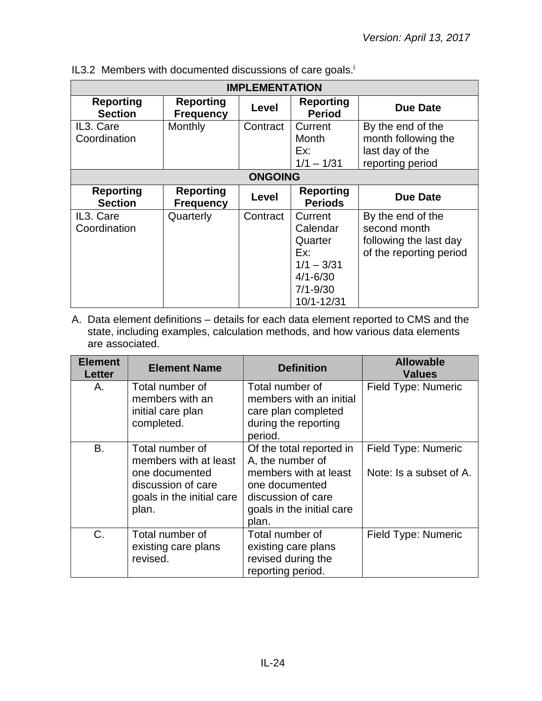| <b>IMPLEMENTATION</b>              |                                      |          |                                                                                                     |                                                                                        |  |  |
|------------------------------------|--------------------------------------|----------|-----------------------------------------------------------------------------------------------------|----------------------------------------------------------------------------------------|--|--|
| <b>Reporting</b><br><b>Section</b> | <b>Reporting</b><br><b>Frequency</b> | Level    | <b>Reporting</b><br><b>Period</b>                                                                   | <b>Due Date</b>                                                                        |  |  |
| IL3. Care<br>Coordination          | Monthly                              | Contract | Current<br>Month<br>Ex:<br>$1/1 - 1/31$                                                             | By the end of the<br>month following the<br>last day of the<br>reporting period        |  |  |
|                                    | <b>ONGOING</b>                       |          |                                                                                                     |                                                                                        |  |  |
| <b>Reporting</b><br><b>Section</b> | <b>Reporting</b><br><b>Frequency</b> | Level    | <b>Reporting</b><br><b>Periods</b>                                                                  | <b>Due Date</b>                                                                        |  |  |
| IL3. Care<br>Coordination          | Quarterly                            | Contract | Current<br>Calendar<br>Quarter<br>Ex:<br>$1/1 - 3/31$<br>$4/1 - 6/30$<br>$7/1 - 9/30$<br>10/1-12/31 | By the end of the<br>second month<br>following the last day<br>of the reporting period |  |  |

IL3.2 Members with documented discussions of care goals.<sup>i</sup>

| <b>Element</b><br><b>Letter</b> | <b>Element Name</b>                                                                                                    | <b>Definition</b>                                                                                                                                   | <b>Allowable</b><br><b>Values</b>              |
|---------------------------------|------------------------------------------------------------------------------------------------------------------------|-----------------------------------------------------------------------------------------------------------------------------------------------------|------------------------------------------------|
| А.                              | Total number of<br>members with an<br>initial care plan<br>completed.                                                  | Total number of<br>members with an initial<br>care plan completed<br>during the reporting<br>period.                                                | Field Type: Numeric                            |
| Β.                              | Total number of<br>members with at least<br>one documented<br>discussion of care<br>goals in the initial care<br>plan. | Of the total reported in<br>A, the number of<br>members with at least<br>one documented<br>discussion of care<br>goals in the initial care<br>plan. | Field Type: Numeric<br>Note: Is a subset of A. |
| C.                              | Total number of<br>existing care plans<br>revised.                                                                     | Total number of<br>existing care plans<br>revised during the<br>reporting period.                                                                   | Field Type: Numeric                            |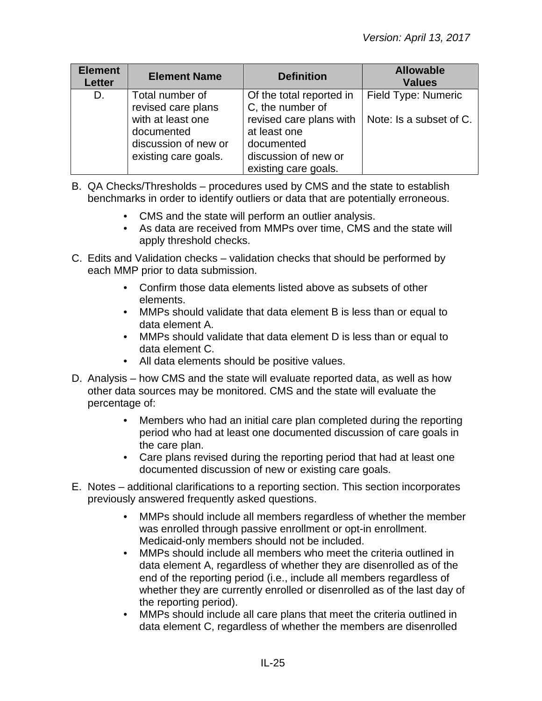| <b>Element</b><br><b>Letter</b> | <b>Element Name</b>                                                             | <b>Definition</b>                                                                                                                     | <b>Allowable</b><br><b>Values</b> |
|---------------------------------|---------------------------------------------------------------------------------|---------------------------------------------------------------------------------------------------------------------------------------|-----------------------------------|
| D.                              | Total number of<br>revised care plans                                           | Of the total reported in<br>C, the number of                                                                                          | Field Type: Numeric               |
|                                 | with at least one<br>documented<br>discussion of new or<br>existing care goals. | revised care plans with $\vert$ Note: Is a subset of C.<br>at least one<br>documented<br>discussion of new or<br>existing care goals. |                                   |

- B. QA Checks/Thresholds procedures used by CMS and the state to establish benchmarks in order to identify outliers or data that are potentially erroneous.
	- CMS and the state will perform an outlier analysis.
	- As data are received from MMPs over time, CMS and the state will apply threshold checks.
- C. Edits and Validation checks validation checks that should be performed by each MMP prior to data submission.
	- Confirm those data elements listed above as subsets of other elements.
	- MMPs should validate that data element B is less than or equal to data element A.
	- MMPs should validate that data element D is less than or equal to data element C.
	- All data elements should be positive values.
- D. Analysis how CMS and the state will evaluate reported data, as well as how other data sources may be monitored. CMS and the state will evaluate the percentage of:
	- Members who had an initial care plan completed during the reporting period who had at least one documented discussion of care goals in the care plan.
	- Care plans revised during the reporting period that had at least one documented discussion of new or existing care goals.
- E. Notes additional clarifications to a reporting section. This section incorporates previously answered frequently asked questions.
	- MMPs should include all members regardless of whether the member was enrolled through passive enrollment or opt-in enrollment. Medicaid-only members should not be included.
	- MMPs should include all members who meet the criteria outlined in data element A, regardless of whether they are disenrolled as of the end of the reporting period (i.e., include all members regardless of whether they are currently enrolled or disenrolled as of the last day of the reporting period).
	- MMPs should include all care plans that meet the criteria outlined in data element C, regardless of whether the members are disenrolled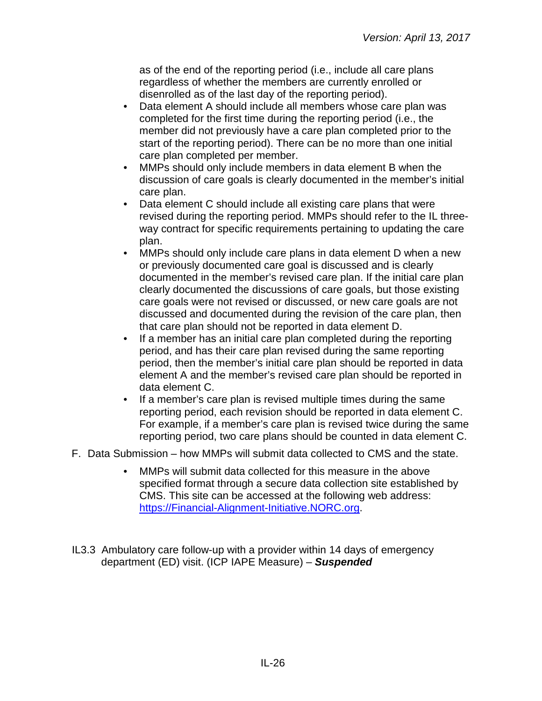as of the end of the reporting period (i.e., include all care plans regardless of whether the members are currently enrolled or disenrolled as of the last day of the reporting period).

- Data element A should include all members whose care plan was completed for the first time during the reporting period (i.e., the member did not previously have a care plan completed prior to the start of the reporting period). There can be no more than one initial care plan completed per member.
- MMPs should only include members in data element B when the discussion of care goals is clearly documented in the member's initial care plan.
- Data element C should include all existing care plans that were revised during the reporting period. MMPs should refer to the IL threeway contract for specific requirements pertaining to updating the care plan.
- MMPs should only include care plans in data element D when a new or previously documented care goal is discussed and is clearly documented in the member's revised care plan. If the initial care plan clearly documented the discussions of care goals, but those existing care goals were not revised or discussed, or new care goals are not discussed and documented during the revision of the care plan, then that care plan should not be reported in data element D.
- If a member has an initial care plan completed during the reporting period, and has their care plan revised during the same reporting period, then the member's initial care plan should be reported in data element A and the member's revised care plan should be reported in data element C.
- If a member's care plan is revised multiple times during the same reporting period, each revision should be reported in data element C. For example, if a member's care plan is revised twice during the same reporting period, two care plans should be counted in data element C.
- F. Data Submission how MMPs will submit data collected to CMS and the state.
	- MMPs will submit data collected for this measure in the above specified format through a secure data collection site established by CMS. This site can be accessed at the following web address: [https://Financial-Alignment-Initiative.NORC.org.](https://financial-alignment-initiative.norc.org/)
- IL3.3 Ambulatory care follow-up with a provider within 14 days of emergency department (ED) visit. (ICP IAPE Measure) – *Suspended*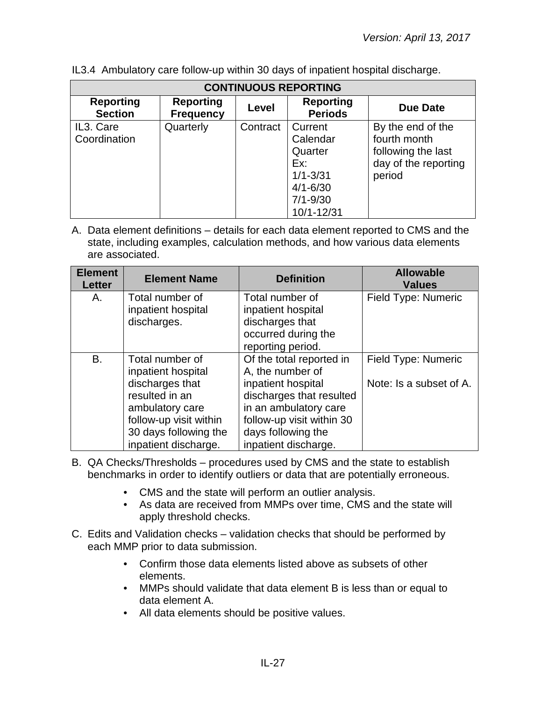| <b>CONTINUOUS REPORTING</b>        |                                      |          |                                                                                                         |                                                                                           |  |  |
|------------------------------------|--------------------------------------|----------|---------------------------------------------------------------------------------------------------------|-------------------------------------------------------------------------------------------|--|--|
| <b>Reporting</b><br><b>Section</b> | <b>Reporting</b><br><b>Frequency</b> | Level    | <b>Reporting</b><br><b>Periods</b>                                                                      | Due Date                                                                                  |  |  |
| IL3. Care<br>Coordination          | Quarterly                            | Contract | Current<br>Calendar<br>Quarter<br>Ex:<br>$1/1 - 3/31$<br>$4/1 - 6/30$<br>$7/1 - 9/30$<br>$10/1 - 12/31$ | By the end of the<br>fourth month<br>following the last<br>day of the reporting<br>period |  |  |

IL3.4 Ambulatory care follow-up within 30 days of inpatient hospital discharge.

| <b>Element</b><br><b>Letter</b> | <b>Element Name</b>    | <b>Definition</b>         | <b>Allowable</b><br><b>Values</b> |
|---------------------------------|------------------------|---------------------------|-----------------------------------|
| А.                              | Total number of        | Total number of           | Field Type: Numeric               |
|                                 | inpatient hospital     | inpatient hospital        |                                   |
|                                 | discharges.            | discharges that           |                                   |
|                                 |                        | occurred during the       |                                   |
|                                 |                        | reporting period.         |                                   |
| В.                              | Total number of        | Of the total reported in  | Field Type: Numeric               |
|                                 | inpatient hospital     | A, the number of          |                                   |
|                                 | discharges that        | inpatient hospital        | Note: Is a subset of A.           |
|                                 | resulted in an         | discharges that resulted  |                                   |
|                                 | ambulatory care        | in an ambulatory care     |                                   |
|                                 | follow-up visit within | follow-up visit within 30 |                                   |
|                                 | 30 days following the  | days following the        |                                   |
|                                 | inpatient discharge.   | inpatient discharge.      |                                   |

- B. QA Checks/Thresholds procedures used by CMS and the state to establish benchmarks in order to identify outliers or data that are potentially erroneous.
	- CMS and the state will perform an outlier analysis.
	- As data are received from MMPs over time, CMS and the state will apply threshold checks.
- C. Edits and Validation checks validation checks that should be performed by each MMP prior to data submission.
	- Confirm those data elements listed above as subsets of other elements.
	- MMPs should validate that data element B is less than or equal to data element A.
	- All data elements should be positive values.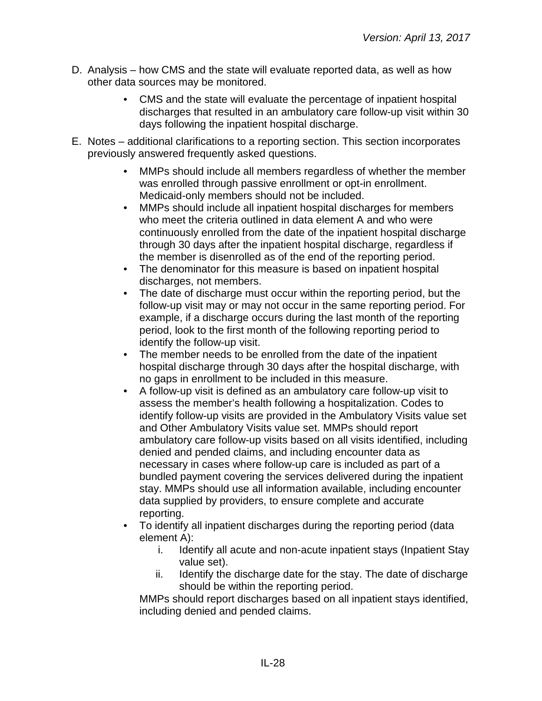- D. Analysis how CMS and the state will evaluate reported data, as well as how other data sources may be monitored.
	- CMS and the state will evaluate the percentage of inpatient hospital discharges that resulted in an ambulatory care follow-up visit within 30 days following the inpatient hospital discharge.
- E. Notes additional clarifications to a reporting section. This section incorporates previously answered frequently asked questions.
	- MMPs should include all members regardless of whether the member was enrolled through passive enrollment or opt-in enrollment. Medicaid-only members should not be included.
	- MMPs should include all inpatient hospital discharges for members who meet the criteria outlined in data element A and who were continuously enrolled from the date of the inpatient hospital discharge through 30 days after the inpatient hospital discharge, regardless if the member is disenrolled as of the end of the reporting period.
	- The denominator for this measure is based on inpatient hospital discharges, not members.
	- The date of discharge must occur within the reporting period, but the follow-up visit may or may not occur in the same reporting period. For example, if a discharge occurs during the last month of the reporting period, look to the first month of the following reporting period to identify the follow-up visit.
	- The member needs to be enrolled from the date of the inpatient hospital discharge through 30 days after the hospital discharge, with no gaps in enrollment to be included in this measure.
	- A follow-up visit is defined as an ambulatory care follow-up visit to assess the member's health following a hospitalization. Codes to identify follow-up visits are provided in the Ambulatory Visits value set and Other Ambulatory Visits value set. MMPs should report ambulatory care follow-up visits based on all visits identified, including denied and pended claims, and including encounter data as necessary in cases where follow-up care is included as part of a bundled payment covering the services delivered during the inpatient stay. MMPs should use all information available, including encounter data supplied by providers, to ensure complete and accurate reporting.
	- To identify all inpatient discharges during the reporting period (data element A):
		- i. Identify all acute and non-acute inpatient stays (Inpatient Stay value set).
		- ii. Identify the discharge date for the stay. The date of discharge should be within the reporting period.

MMPs should report discharges based on all inpatient stays identified, including denied and pended claims.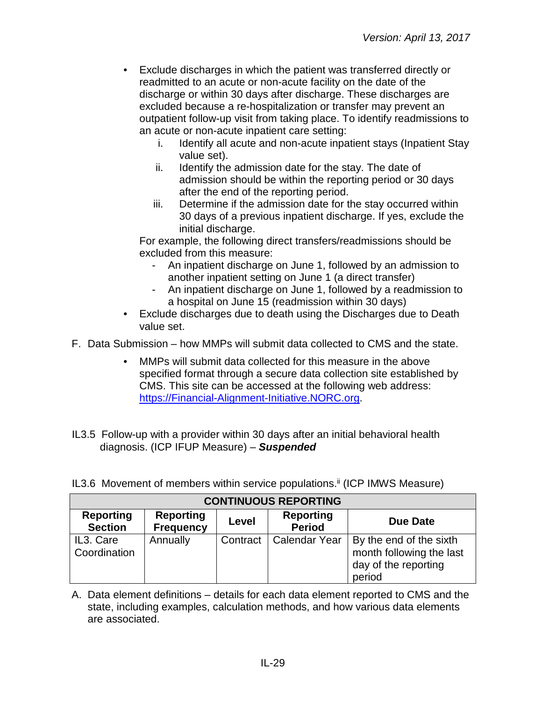- Exclude discharges in which the patient was transferred directly or readmitted to an acute or non-acute facility on the date of the discharge or within 30 days after discharge. These discharges are excluded because a re-hospitalization or transfer may prevent an outpatient follow-up visit from taking place. To identify readmissions to an acute or non-acute inpatient care setting:
	- i. Identify all acute and non-acute inpatient stays (Inpatient Stay value set).
	- ii. Identify the admission date for the stay. The date of admission should be within the reporting period or 30 days after the end of the reporting period.
	- iii. Determine if the admission date for the stay occurred within 30 days of a previous inpatient discharge. If yes, exclude the initial discharge.

For example, the following direct transfers/readmissions should be excluded from this measure:

- An inpatient discharge on June 1, followed by an admission to another inpatient setting on June 1 (a direct transfer)
- An inpatient discharge on June 1, followed by a readmission to a hospital on June 15 (readmission within 30 days)
- Exclude discharges due to death using the Discharges due to Death value set.

F. Data Submission – how MMPs will submit data collected to CMS and the state.

- MMPs will submit data collected for this measure in the above specified format through a secure data collection site established by CMS. This site can be accessed at the following web address: [https://Financial-Alignment-Initiative.NORC.org.](https://financial-alignment-initiative.norc.org/)
- IL3.5 Follow-up with a provider within 30 days after an initial behavioral health diagnosis. (ICP IFUP Measure) – *Suspended*

| <b>CONTINUOUS REPORTING</b>        |                                      |              |                                   |                                                                                       |  |  |
|------------------------------------|--------------------------------------|--------------|-----------------------------------|---------------------------------------------------------------------------------------|--|--|
| <b>Reporting</b><br><b>Section</b> | <b>Reporting</b><br><b>Frequency</b> | <b>Level</b> | <b>Reporting</b><br><b>Period</b> | <b>Due Date</b>                                                                       |  |  |
| IL3. Care<br>Coordination          | Annually                             | Contract     | <b>Calendar Year</b>              | By the end of the sixth<br>month following the last<br>day of the reporting<br>period |  |  |

IL3.6 Movement of members within service populations.<sup>ii</sup> (ICP IMWS Measure)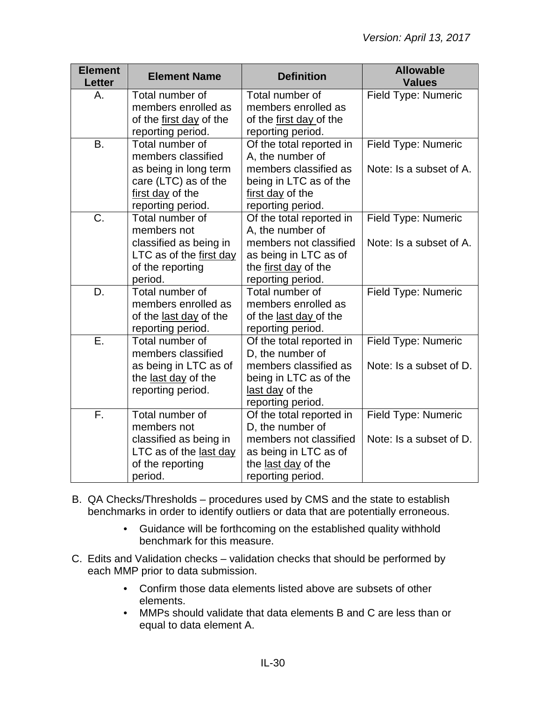| <b>Element</b><br><b>Letter</b> | <b>Element Name</b>     | <b>Definition</b>        | <b>Allowable</b><br><b>Values</b> |
|---------------------------------|-------------------------|--------------------------|-----------------------------------|
| Α.                              | Total number of         | Total number of          | Field Type: Numeric               |
|                                 | members enrolled as     | members enrolled as      |                                   |
|                                 | of the first day of the | of the first day of the  |                                   |
|                                 | reporting period.       | reporting period.        |                                   |
| <b>B.</b>                       | Total number of         | Of the total reported in | Field Type: Numeric               |
|                                 | members classified      | A, the number of         |                                   |
|                                 | as being in long term   | members classified as    | Note: Is a subset of A.           |
|                                 | care (LTC) as of the    | being in LTC as of the   |                                   |
|                                 | first day of the        | first day of the         |                                   |
|                                 | reporting period.       | reporting period.        |                                   |
| $\overline{C}$ .                | Total number of         | Of the total reported in | Field Type: Numeric               |
|                                 | members not             | A, the number of         |                                   |
|                                 | classified as being in  | members not classified   | Note: Is a subset of A.           |
|                                 | LTC as of the first day | as being in LTC as of    |                                   |
|                                 | of the reporting        | the first day of the     |                                   |
|                                 | period.                 | reporting period.        |                                   |
| D.                              | Total number of         | Total number of          | Field Type: Numeric               |
|                                 | members enrolled as     | members enrolled as      |                                   |
|                                 | of the last day of the  | of the last day of the   |                                   |
|                                 | reporting period.       | reporting period.        |                                   |
| Ε.                              | Total number of         | Of the total reported in | Field Type: Numeric               |
|                                 | members classified      | D, the number of         |                                   |
|                                 | as being in LTC as of   | members classified as    | Note: Is a subset of D.           |
|                                 | the last day of the     | being in LTC as of the   |                                   |
|                                 | reporting period.       | last day of the          |                                   |
|                                 |                         | reporting period.        |                                   |
| $\overline{F}$ .                | Total number of         | Of the total reported in | Field Type: Numeric               |
|                                 | members not             | D, the number of         |                                   |
|                                 | classified as being in  | members not classified   | Note: Is a subset of D.           |
|                                 | LTC as of the last day  | as being in LTC as of    |                                   |
|                                 | of the reporting        | the last day of the      |                                   |
|                                 | period.                 | reporting period.        |                                   |

- B. QA Checks/Thresholds procedures used by CMS and the state to establish benchmarks in order to identify outliers or data that are potentially erroneous.
	- Guidance will be forthcoming on the established quality withhold benchmark for this measure.
- C. Edits and Validation checks validation checks that should be performed by each MMP prior to data submission.
	- Confirm those data elements listed above are subsets of other elements.
	- MMPs should validate that data elements B and C are less than or equal to data element A.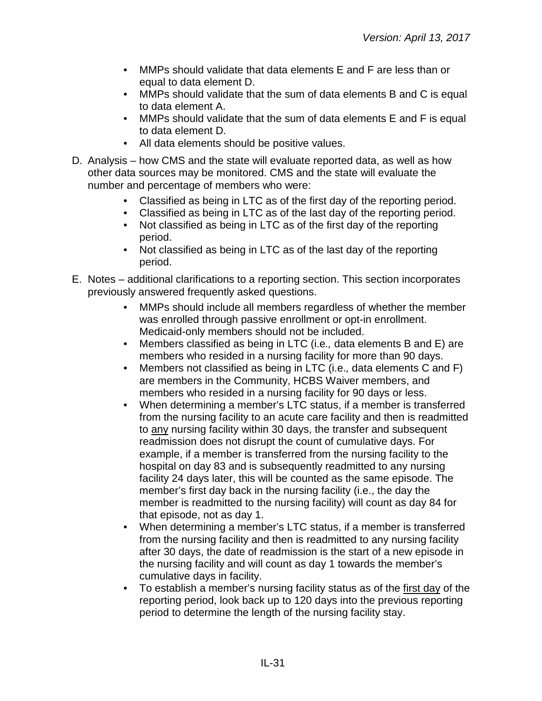- MMPs should validate that data elements E and F are less than or equal to data element D.
- MMPs should validate that the sum of data elements B and C is equal to data element A.
- MMPs should validate that the sum of data elements E and F is equal to data element D.
- All data elements should be positive values.
- D. Analysis how CMS and the state will evaluate reported data, as well as how other data sources may be monitored. CMS and the state will evaluate the number and percentage of members who were:
	- Classified as being in LTC as of the first day of the reporting period.
	- Classified as being in LTC as of the last day of the reporting period.
	- Not classified as being in LTC as of the first day of the reporting period.
	- Not classified as being in LTC as of the last day of the reporting period.
- E. Notes additional clarifications to a reporting section. This section incorporates previously answered frequently asked questions.
	- MMPs should include all members regardless of whether the member was enrolled through passive enrollment or opt-in enrollment. Medicaid-only members should not be included.
	- Members classified as being in LTC (i.e*.,* data elements B and E) are members who resided in a nursing facility for more than 90 days.
	- Members not classified as being in LTC (i.e.*,* data elements C and F) are members in the Community, HCBS Waiver members, and members who resided in a nursing facility for 90 days or less.
	- When determining a member's LTC status, if a member is transferred from the nursing facility to an acute care facility and then is readmitted to any nursing facility within 30 days, the transfer and subsequent readmission does not disrupt the count of cumulative days. For example, if a member is transferred from the nursing facility to the hospital on day 83 and is subsequently readmitted to any nursing facility 24 days later, this will be counted as the same episode. The member's first day back in the nursing facility (i.e., the day the member is readmitted to the nursing facility) will count as day 84 for that episode, not as day 1.
	- When determining a member's LTC status, if a member is transferred from the nursing facility and then is readmitted to any nursing facility after 30 days, the date of readmission is the start of a new episode in the nursing facility and will count as day 1 towards the member's cumulative days in facility.
	- To establish a member's nursing facility status as of the first day of the reporting period, look back up to 120 days into the previous reporting period to determine the length of the nursing facility stay.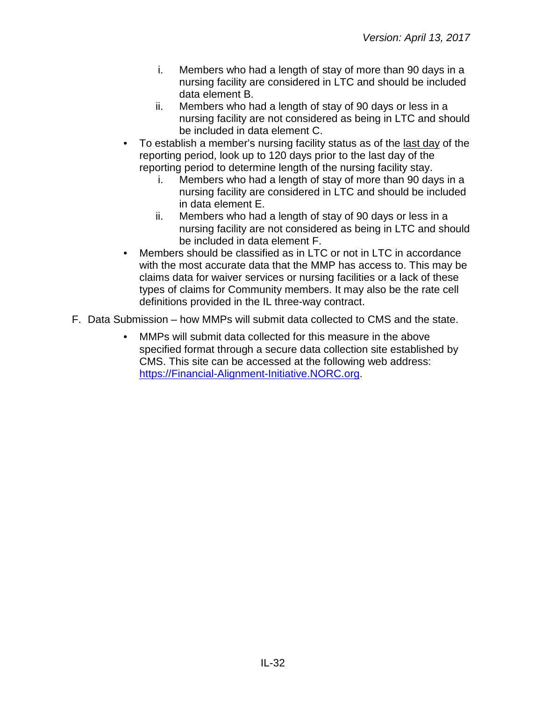- i. Members who had a length of stay of more than 90 days in a nursing facility are considered in LTC and should be included data element B.
- ii. Members who had a length of stay of 90 days or less in a nursing facility are not considered as being in LTC and should be included in data element C.
- To establish a member's nursing facility status as of the last day of the reporting period, look up to 120 days prior to the last day of the reporting period to determine length of the nursing facility stay.
	- i. Members who had a length of stay of more than 90 days in a nursing facility are considered in LTC and should be included in data element E.
	- ii. Members who had a length of stay of 90 days or less in a nursing facility are not considered as being in LTC and should be included in data element F.
- Members should be classified as in LTC or not in LTC in accordance with the most accurate data that the MMP has access to. This may be claims data for waiver services or nursing facilities or a lack of these types of claims for Community members. It may also be the rate cell definitions provided in the IL three-way contract.
- F. Data Submission how MMPs will submit data collected to CMS and the state.
	- MMPs will submit data collected for this measure in the above specified format through a secure data collection site established by CMS. This site can be accessed at the following web address: [https://Financial-Alignment-Initiative.NORC.org.](https://financial-alignment-initiative.norc.org/)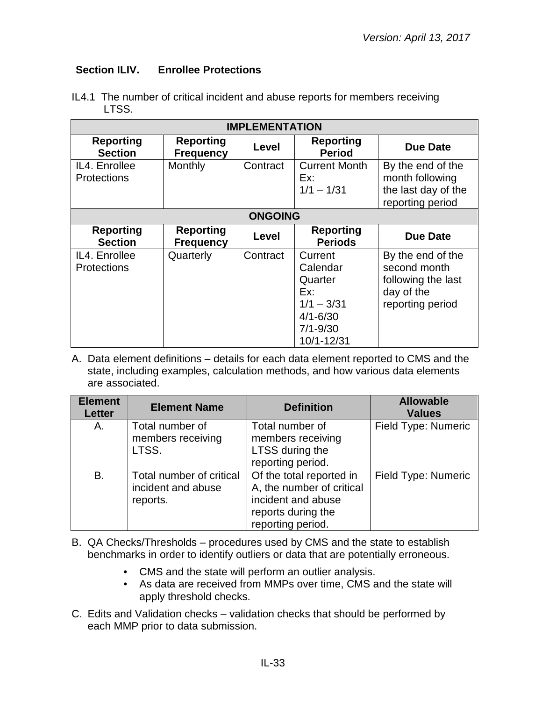## <span id="page-32-0"></span>**Section ILIV.****Enrollee Protections**

| <b>IMPLEMENTATION</b>               |                                      |                |                                                                                                     |                                                                                           |
|-------------------------------------|--------------------------------------|----------------|-----------------------------------------------------------------------------------------------------|-------------------------------------------------------------------------------------------|
| <b>Reporting</b><br><b>Section</b>  | <b>Reporting</b><br><b>Frequency</b> | Level          | <b>Reporting</b><br><b>Period</b>                                                                   | <b>Due Date</b>                                                                           |
| IL4. Enrollee<br><b>Protections</b> | Monthly                              | Contract       | <b>Current Month</b><br>Ex:<br>$1/1 - 1/31$                                                         | By the end of the<br>month following<br>the last day of the<br>reporting period           |
|                                     |                                      | <b>ONGOING</b> |                                                                                                     |                                                                                           |
| <b>Reporting</b><br><b>Section</b>  | <b>Reporting</b><br><b>Frequency</b> | Level          | <b>Reporting</b><br><b>Periods</b>                                                                  | <b>Due Date</b>                                                                           |
| IL4. Enrollee<br><b>Protections</b> | Quarterly                            | Contract       | Current<br>Calendar<br>Quarter<br>Ex:<br>$1/1 - 3/31$<br>$4/1 - 6/30$<br>$7/1 - 9/30$<br>10/1-12/31 | By the end of the<br>second month<br>following the last<br>day of the<br>reporting period |

IL4.1 The number of critical incident and abuse reports for members receiving LTSS.

| <b>Element</b><br><b>Letter</b> | <b>Element Name</b>                                        | <b>Definition</b>                                                                                                      | <b>Allowable</b><br><b>Values</b> |
|---------------------------------|------------------------------------------------------------|------------------------------------------------------------------------------------------------------------------------|-----------------------------------|
| А.                              | Total number of<br>members receiving<br>LTSS.              | Total number of<br>members receiving<br>LTSS during the<br>reporting period.                                           | Field Type: Numeric               |
| <b>B.</b>                       | Total number of critical<br>incident and abuse<br>reports. | Of the total reported in<br>A, the number of critical<br>incident and abuse<br>reports during the<br>reporting period. | Field Type: Numeric               |

- B. QA Checks/Thresholds procedures used by CMS and the state to establish benchmarks in order to identify outliers or data that are potentially erroneous.
	- CMS and the state will perform an outlier analysis.
	- As data are received from MMPs over time, CMS and the state will apply threshold checks.
- C. Edits and Validation checks validation checks that should be performed by each MMP prior to data submission.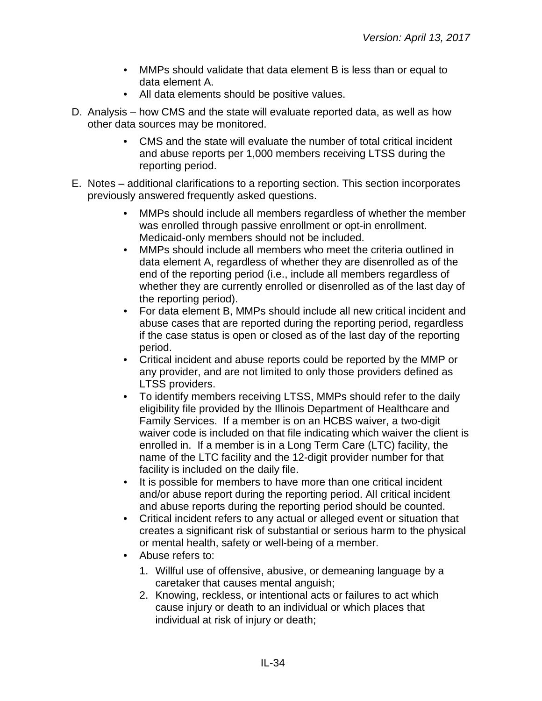- MMPs should validate that data element B is less than or equal to data element A.
- All data elements should be positive values.
- D. Analysis how CMS and the state will evaluate reported data, as well as how other data sources may be monitored.
	- CMS and the state will evaluate the number of total critical incident and abuse reports per 1,000 members receiving LTSS during the reporting period.
- E. Notes additional clarifications to a reporting section. This section incorporates previously answered frequently asked questions.
	- MMPs should include all members regardless of whether the member was enrolled through passive enrollment or opt-in enrollment. Medicaid-only members should not be included.
	- MMPs should include all members who meet the criteria outlined in data element A, regardless of whether they are disenrolled as of the end of the reporting period (i.e., include all members regardless of whether they are currently enrolled or disenrolled as of the last day of the reporting period).
	- For data element B, MMPs should include all new critical incident and abuse cases that are reported during the reporting period, regardless if the case status is open or closed as of the last day of the reporting period.
	- Critical incident and abuse reports could be reported by the MMP or any provider, and are not limited to only those providers defined as LTSS providers.
	- To identify members receiving LTSS, MMPs should refer to the daily eligibility file provided by the Illinois Department of Healthcare and Family Services. If a member is on an HCBS waiver, a two-digit waiver code is included on that file indicating which waiver the client is enrolled in. If a member is in a Long Term Care (LTC) facility, the name of the LTC facility and the 12-digit provider number for that facility is included on the daily file.
	- It is possible for members to have more than one critical incident and/or abuse report during the reporting period. All critical incident and abuse reports during the reporting period should be counted.
	- Critical incident refers to any actual or alleged event or situation that creates a significant risk of substantial or serious harm to the physical or mental health, safety or well-being of a member.
	- Abuse refers to:
		- 1. Willful use of offensive, abusive, or demeaning language by a caretaker that causes mental anguish;
		- 2. Knowing, reckless, or intentional acts or failures to act which cause injury or death to an individual or which places that individual at risk of injury or death;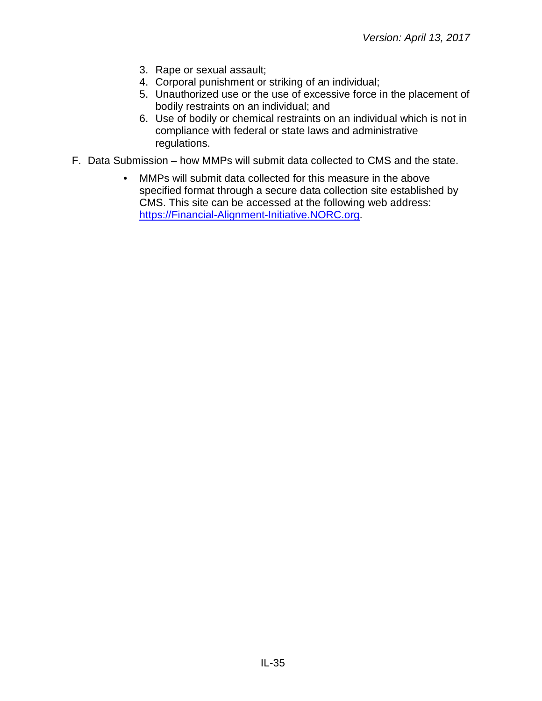- 3. Rape or sexual assault;
- 4. Corporal punishment or striking of an individual;
- 5. Unauthorized use or the use of excessive force in the placement of bodily restraints on an individual; and
- 6. Use of bodily or chemical restraints on an individual which is not in compliance with federal or state laws and administrative regulations.
- F. Data Submission how MMPs will submit data collected to CMS and the state.
	- MMPs will submit data collected for this measure in the above specified format through a secure data collection site established by CMS. This site can be accessed at the following web address: [https://Financial-Alignment-Initiative.NORC.org.](https://financial-alignment-initiative.norc.org/)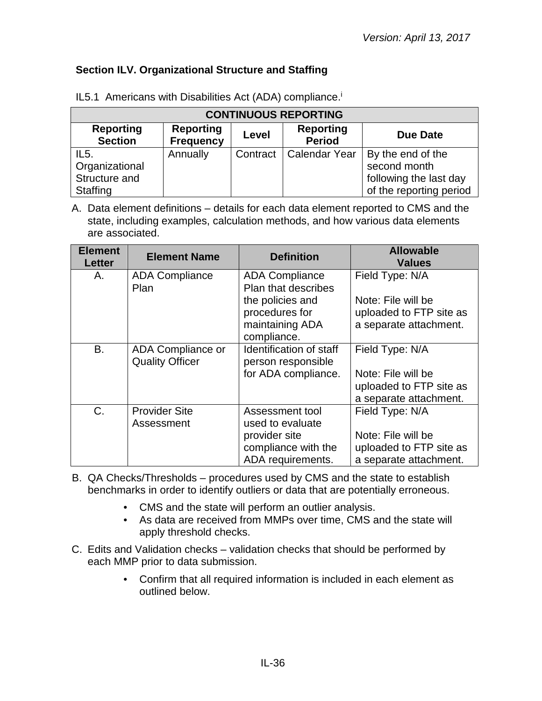## <span id="page-35-0"></span>**Section ILV. Organizational Structure and Staffing**

| <b>CONTINUOUS REPORTING</b>                                                                                                                 |          |          |               |                         |  |
|---------------------------------------------------------------------------------------------------------------------------------------------|----------|----------|---------------|-------------------------|--|
| <b>Reporting</b><br><b>Reporting</b><br><b>Reporting</b><br>Level<br><b>Due Date</b><br><b>Section</b><br><b>Period</b><br><b>Frequency</b> |          |          |               |                         |  |
| IL5.                                                                                                                                        | Annually | Contract | Calendar Year | By the end of the       |  |
| Organizational                                                                                                                              |          |          |               | second month            |  |
| Structure and                                                                                                                               |          |          |               | following the last day  |  |
| Staffing                                                                                                                                    |          |          |               | of the reporting period |  |

IL5.1 Americans with Disabilities Act (ADA) compliance.<sup>i</sup>

| <b>Element</b><br><b>Letter</b> | <b>Element Name</b>                         | <b>Definition</b>                                                                                                    | <b>Allowable</b><br><b>Values</b>                                                          |
|---------------------------------|---------------------------------------------|----------------------------------------------------------------------------------------------------------------------|--------------------------------------------------------------------------------------------|
| Α.                              | <b>ADA Compliance</b><br>Plan               | <b>ADA Compliance</b><br>Plan that describes<br>the policies and<br>procedures for<br>maintaining ADA<br>compliance. | Field Type: N/A<br>Note: File will be<br>uploaded to FTP site as<br>a separate attachment. |
| B.                              | ADA Compliance or<br><b>Quality Officer</b> | Identification of staff<br>person responsible<br>for ADA compliance.                                                 | Field Type: N/A<br>Note: File will be<br>uploaded to FTP site as<br>a separate attachment. |
| $C_{\cdot}$                     | <b>Provider Site</b><br>Assessment          | Assessment tool<br>used to evaluate<br>provider site<br>compliance with the<br>ADA requirements.                     | Field Type: N/A<br>Note: File will be<br>uploaded to FTP site as<br>a separate attachment. |

- B. QA Checks/Thresholds procedures used by CMS and the state to establish benchmarks in order to identify outliers or data that are potentially erroneous.
	- CMS and the state will perform an outlier analysis.
	- As data are received from MMPs over time, CMS and the state will apply threshold checks.
- C. Edits and Validation checks validation checks that should be performed by each MMP prior to data submission.
	- Confirm that all required information is included in each element as outlined below.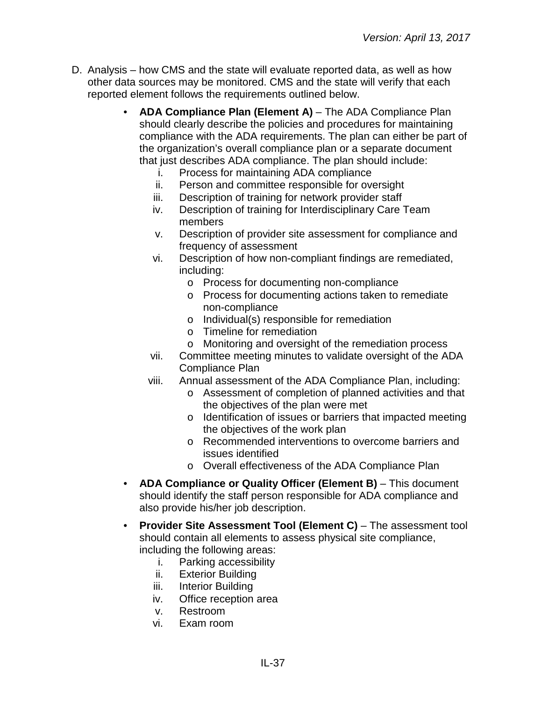- D. Analysis how CMS and the state will evaluate reported data, as well as how other data sources may be monitored. CMS and the state will verify that each reported element follows the requirements outlined below.
	- **ADA Compliance Plan (Element A)** The ADA Compliance Plan should clearly describe the policies and procedures for maintaining compliance with the ADA requirements. The plan can either be part of the organization's overall compliance plan or a separate document that just describes ADA compliance. The plan should include:
		- i. Process for maintaining ADA compliance
		- ii. Person and committee responsible for oversight
		- iii. Description of training for network provider staff
		- iv. Description of training for Interdisciplinary Care Team members
		- v. Description of provider site assessment for compliance and frequency of assessment
		- vi. Description of how non-compliant findings are remediated, including:
			- o Process for documenting non-compliance
			- o Process for documenting actions taken to remediate non-compliance
			- o Individual(s) responsible for remediation
			- o Timeline for remediation
			- o Monitoring and oversight of the remediation process
		- vii. Committee meeting minutes to validate oversight of the ADA Compliance Plan
		- viii. Annual assessment of the ADA Compliance Plan, including:
			- o Assessment of completion of planned activities and that the objectives of the plan were met
			- o Identification of issues or barriers that impacted meeting the objectives of the work plan
			- o Recommended interventions to overcome barriers and issues identified
			- o Overall effectiveness of the ADA Compliance Plan
	- **ADA Compliance or Quality Officer (Element B)** This document should identify the staff person responsible for ADA compliance and also provide his/her job description.
	- **Provider Site Assessment Tool (Element C)** The assessment tool should contain all elements to assess physical site compliance, including the following areas:
		- i. Parking accessibility
		- ii. Exterior Building
		- iii. Interior Building
		- iv. Office reception area
		- v. Restroom
		- vi. Exam room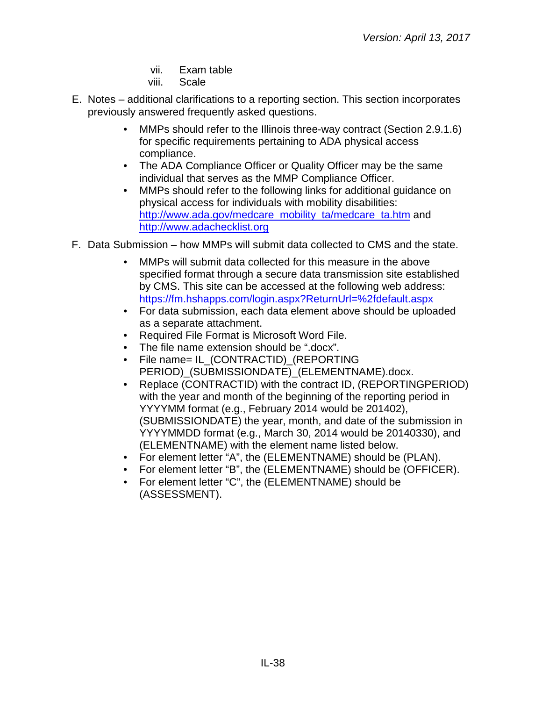- vii. Exam table
- viii. Scale
- E. Notes additional clarifications to a reporting section. This section incorporates previously answered frequently asked questions.
	- MMPs should refer to the Illinois three-way contract (Section 2.9.1.6) for specific requirements pertaining to ADA physical access compliance.
	- The ADA Compliance Officer or Quality Officer may be the same individual that serves as the MMP Compliance Officer.
	- MMPs should refer to the following links for additional guidance on physical access for individuals with mobility disabilities: [http://www.ada.gov/medcare\\_mobility\\_ta/medcare\\_ta.htm](http://www.ada.gov/medcare_mobility_ta/medcare_ta.htm) and [http://www.adachecklist.org](http://www.adachecklist.org/)
- F. Data Submission how MMPs will submit data collected to CMS and the state.
	- MMPs will submit data collected for this measure in the above specified format through a secure data transmission site established by CMS. This site can be accessed at the following web address: <https://fm.hshapps.com/login.aspx?ReturnUrl=%2fdefault.aspx>
	- For data submission, each data element above should be uploaded as a separate attachment.
	- Required File Format is Microsoft Word File.
	- The file name extension should be ".docx".
	- File name= IL\_(CONTRACTID)\_(REPORTING PERIOD) (SUBMISSIONDATE) (ELEMENTNAME).docx.
	- Replace (CONTRACTID) with the contract ID, (REPORTINGPERIOD) with the year and month of the beginning of the reporting period in YYYYMM format (e.g., February 2014 would be 201402), (SUBMISSIONDATE) the year, month, and date of the submission in YYYYMMDD format (e.g., March 30, 2014 would be 20140330), and (ELEMENTNAME) with the element name listed below.
	- For element letter "A", the (ELEMENTNAME) should be (PLAN).
	- For element letter "B", the (ELEMENTNAME) should be (OFFICER).
	- For element letter "C", the (ELEMENTNAME) should be (ASSESSMENT).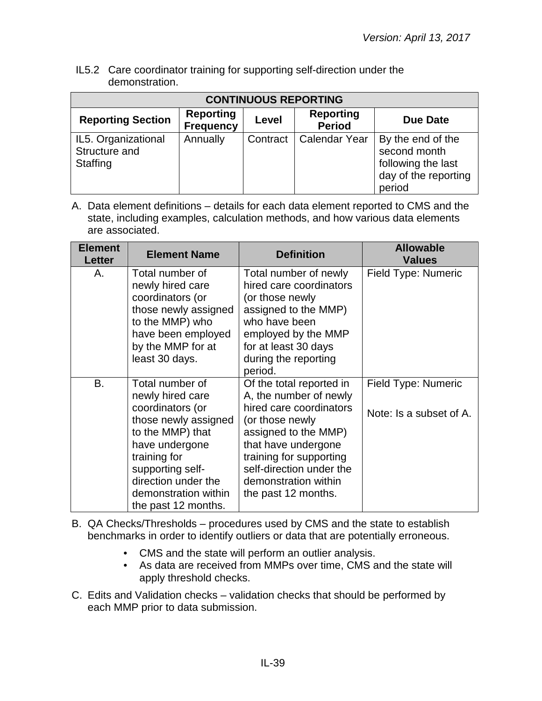IL5.2 Care coordinator training for supporting self-direction under the demonstration.

| <b>CONTINUOUS REPORTING</b>                             |                                      |          |                                   |                                                                                           |  |
|---------------------------------------------------------|--------------------------------------|----------|-----------------------------------|-------------------------------------------------------------------------------------------|--|
| <b>Reporting Section</b>                                | <b>Reporting</b><br><b>Frequency</b> | Level    | <b>Reporting</b><br><b>Period</b> | Due Date                                                                                  |  |
| IL5. Organizational<br>Structure and<br><b>Staffing</b> | Annually                             | Contract | <b>Calendar Year</b>              | By the end of the<br>second month<br>following the last<br>day of the reporting<br>period |  |

| <b>Element</b><br>Letter | <b>Element Name</b>                                                                                                                                                                                                             | <b>Definition</b>                                                                                                                                                                                                                                     | <b>Allowable</b><br><b>Values</b>              |
|--------------------------|---------------------------------------------------------------------------------------------------------------------------------------------------------------------------------------------------------------------------------|-------------------------------------------------------------------------------------------------------------------------------------------------------------------------------------------------------------------------------------------------------|------------------------------------------------|
| А.                       | Total number of<br>newly hired care<br>coordinators (or<br>those newly assigned<br>to the MMP) who<br>have been employed<br>by the MMP for at<br>least 30 days.                                                                 | Total number of newly<br>hired care coordinators<br>(or those newly<br>assigned to the MMP)<br>who have been<br>employed by the MMP<br>for at least 30 days<br>during the reporting<br>period.                                                        | <b>Field Type: Numeric</b>                     |
| B.                       | Total number of<br>newly hired care<br>coordinators (or<br>those newly assigned<br>to the MMP) that<br>have undergone<br>training for<br>supporting self-<br>direction under the<br>demonstration within<br>the past 12 months. | Of the total reported in<br>A, the number of newly<br>hired care coordinators<br>(or those newly<br>assigned to the MMP)<br>that have undergone<br>training for supporting<br>self-direction under the<br>demonstration within<br>the past 12 months. | Field Type: Numeric<br>Note: Is a subset of A. |

- B. QA Checks/Thresholds procedures used by CMS and the state to establish benchmarks in order to identify outliers or data that are potentially erroneous.
	- CMS and the state will perform an outlier analysis.
	- As data are received from MMPs over time, CMS and the state will apply threshold checks.
- C. Edits and Validation checks validation checks that should be performed by each MMP prior to data submission.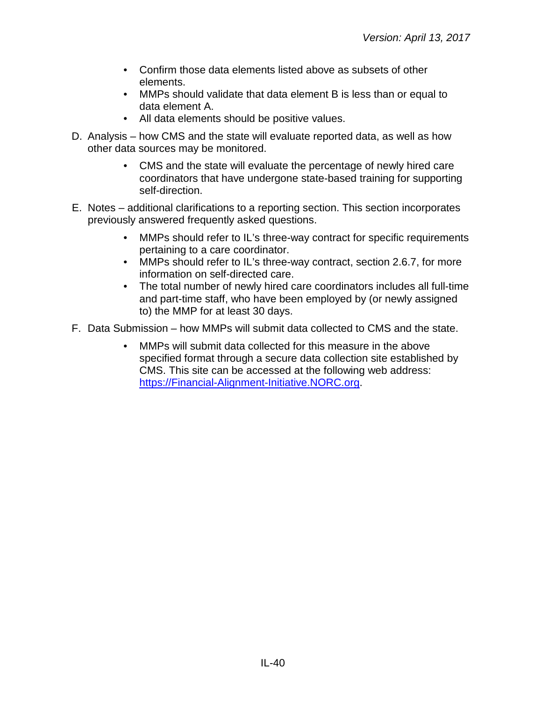- Confirm those data elements listed above as subsets of other elements.
- MMPs should validate that data element B is less than or equal to data element A.
- All data elements should be positive values.
- D. Analysis how CMS and the state will evaluate reported data, as well as how other data sources may be monitored.
	- CMS and the state will evaluate the percentage of newly hired care coordinators that have undergone state-based training for supporting self-direction.
- E. Notes additional clarifications to a reporting section. This section incorporates previously answered frequently asked questions.
	- MMPs should refer to IL's three-way contract for specific requirements pertaining to a care coordinator.
	- MMPs should refer to IL's three-way contract, section 2.6.7, for more information on self-directed care.
	- The total number of newly hired care coordinators includes all full-time and part-time staff, who have been employed by (or newly assigned to) the MMP for at least 30 days.
- F. Data Submission how MMPs will submit data collected to CMS and the state.
	- MMPs will submit data collected for this measure in the above specified format through a secure data collection site established by CMS. This site can be accessed at the following web address: [https://Financial-Alignment-Initiative.NORC.org.](https://financial-alignment-initiative.norc.org/)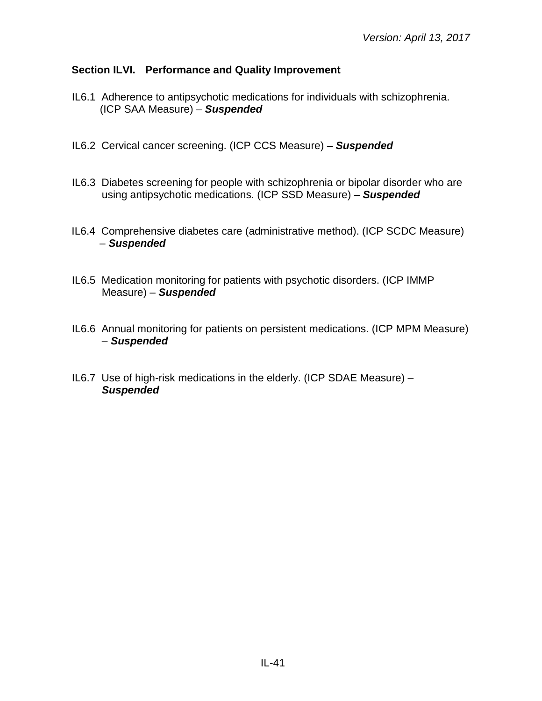## <span id="page-40-0"></span>**Section ILVI. Performance and Quality Improvement**

- IL6.1 Adherence to antipsychotic medications for individuals with schizophrenia. (ICP SAA Measure) – *Suspended*
- IL6.2 Cervical cancer screening. (ICP CCS Measure) *Suspended*
- IL6.3 Diabetes screening for people with schizophrenia or bipolar disorder who are using antipsychotic medications. (ICP SSD Measure) – *Suspended*
- IL6.4 Comprehensive diabetes care (administrative method). (ICP SCDC Measure) – *Suspended*
- IL6.5 Medication monitoring for patients with psychotic disorders. (ICP IMMP Measure) – *Suspended*
- IL6.6 Annual monitoring for patients on persistent medications. (ICP MPM Measure) – *Suspended*
- IL6.7 Use of high-risk medications in the elderly. (ICP SDAE Measure) *Suspended*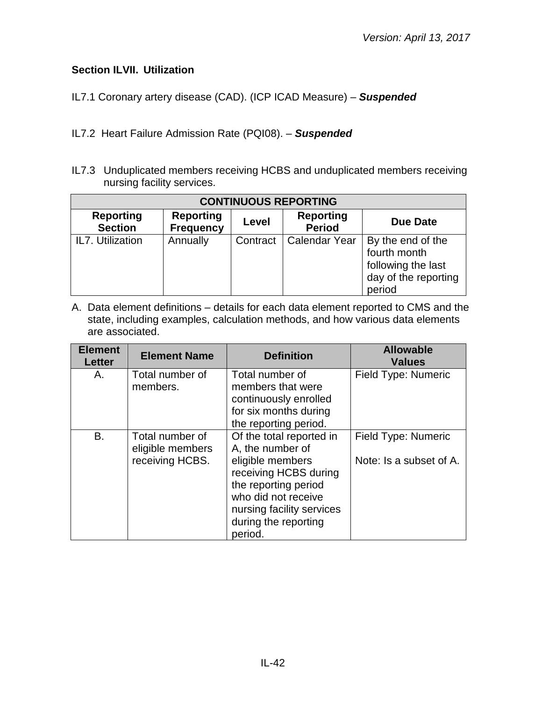## <span id="page-41-0"></span>**Section ILVII. Utilization**

IL7.1 Coronary artery disease (CAD). (ICP ICAD Measure) – *Suspended*

- IL7.2 Heart Failure Admission Rate (PQI08). *Suspended*
- IL7.3 Unduplicated members receiving HCBS and unduplicated members receiving nursing facility services.

| <b>CONTINUOUS REPORTING</b>        |                                      |          |                                   |                                                                                           |  |  |
|------------------------------------|--------------------------------------|----------|-----------------------------------|-------------------------------------------------------------------------------------------|--|--|
| <b>Reporting</b><br><b>Section</b> | <b>Reporting</b><br><b>Frequency</b> | Level    | <b>Reporting</b><br><b>Period</b> | <b>Due Date</b>                                                                           |  |  |
| IL7. Utilization                   | Annually                             | Contract | <b>Calendar Year</b>              | By the end of the<br>fourth month<br>following the last<br>day of the reporting<br>period |  |  |

| <b>Element</b><br><b>Letter</b> | <b>Element Name</b>                                    | <b>Definition</b>                                                                                                                                                                                        | <b>Allowable</b><br><b>Values</b>              |
|---------------------------------|--------------------------------------------------------|----------------------------------------------------------------------------------------------------------------------------------------------------------------------------------------------------------|------------------------------------------------|
| Α.                              | Total number of<br>members.                            | Total number of<br>members that were<br>continuously enrolled<br>for six months during<br>the reporting period.                                                                                          | Field Type: Numeric                            |
| B.                              | Total number of<br>eligible members<br>receiving HCBS. | Of the total reported in<br>A, the number of<br>eligible members<br>receiving HCBS during<br>the reporting period<br>who did not receive<br>nursing facility services<br>during the reporting<br>period. | Field Type: Numeric<br>Note: Is a subset of A. |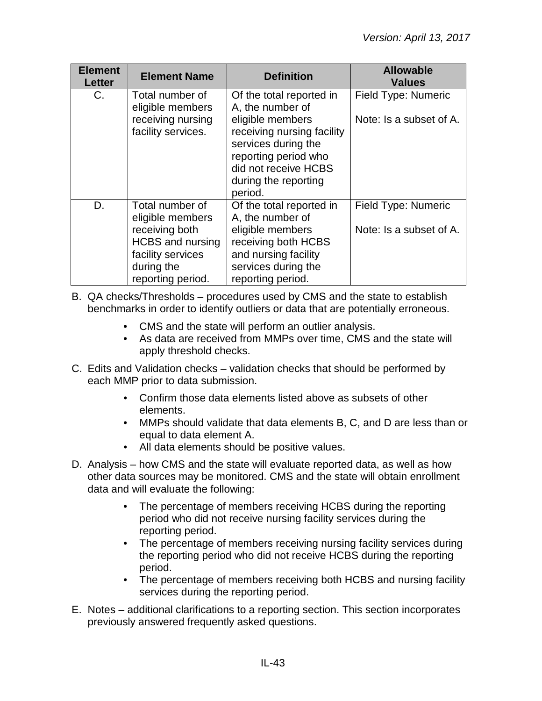| <b>Element</b><br><b>Letter</b> | <b>Element Name</b>                                                                                                          | <b>Definition</b>                                                                                                                    | <b>Allowable</b><br><b>Values</b>              |
|---------------------------------|------------------------------------------------------------------------------------------------------------------------------|--------------------------------------------------------------------------------------------------------------------------------------|------------------------------------------------|
| C.                              | Total number of<br>Of the total reported in<br>A, the number of<br>eligible members<br>receiving nursing<br>eligible members |                                                                                                                                      | Field Type: Numeric<br>Note: Is a subset of A. |
|                                 | facility services.                                                                                                           | receiving nursing facility<br>services during the<br>reporting period who<br>did not receive HCBS<br>during the reporting<br>period. |                                                |
| D.                              | Total number of<br>eligible members                                                                                          | Of the total reported in<br>A, the number of                                                                                         | Field Type: Numeric                            |
|                                 | receiving both<br><b>HCBS</b> and nursing                                                                                    | eligible members<br>receiving both HCBS                                                                                              | Note: Is a subset of A.                        |
|                                 | facility services                                                                                                            | and nursing facility                                                                                                                 |                                                |
|                                 | during the                                                                                                                   | services during the                                                                                                                  |                                                |
|                                 | reporting period.                                                                                                            | reporting period.                                                                                                                    |                                                |

B. QA checks/Thresholds – procedures used by CMS and the state to establish benchmarks in order to identify outliers or data that are potentially erroneous.

- CMS and the state will perform an outlier analysis.
- As data are received from MMPs over time, CMS and the state will apply threshold checks.
- C. Edits and Validation checks validation checks that should be performed by each MMP prior to data submission.
	- Confirm those data elements listed above as subsets of other elements.
	- MMPs should validate that data elements B, C, and D are less than or equal to data element A.
	- All data elements should be positive values.
- D. Analysis how CMS and the state will evaluate reported data, as well as how other data sources may be monitored. CMS and the state will obtain enrollment data and will evaluate the following:
	- The percentage of members receiving HCBS during the reporting period who did not receive nursing facility services during the reporting period.
	- The percentage of members receiving nursing facility services during the reporting period who did not receive HCBS during the reporting period.
	- The percentage of members receiving both HCBS and nursing facility services during the reporting period.
- E. Notes additional clarifications to a reporting section. This section incorporates previously answered frequently asked questions.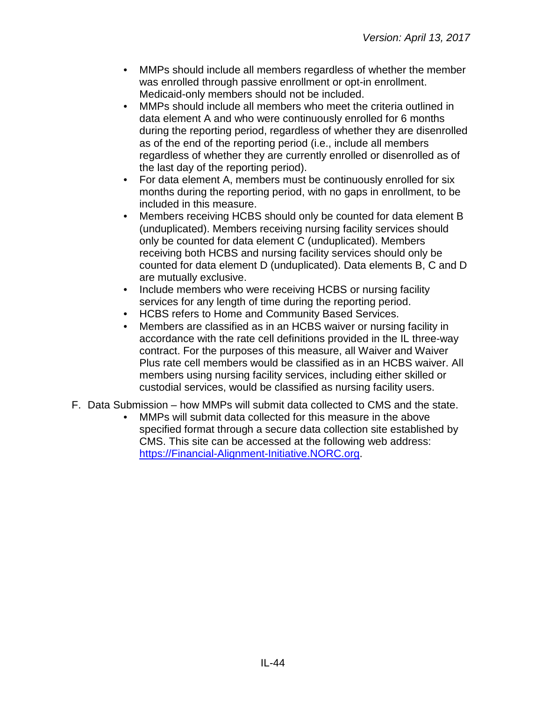- MMPs should include all members regardless of whether the member was enrolled through passive enrollment or opt-in enrollment. Medicaid-only members should not be included.
- MMPs should include all members who meet the criteria outlined in data element A and who were continuously enrolled for 6 months during the reporting period, regardless of whether they are disenrolled as of the end of the reporting period (i.e., include all members regardless of whether they are currently enrolled or disenrolled as of the last day of the reporting period).
- For data element A, members must be continuously enrolled for six months during the reporting period, with no gaps in enrollment, to be included in this measure.
- Members receiving HCBS should only be counted for data element B (unduplicated). Members receiving nursing facility services should only be counted for data element C (unduplicated). Members receiving both HCBS and nursing facility services should only be counted for data element D (unduplicated). Data elements B, C and D are mutually exclusive.
- Include members who were receiving HCBS or nursing facility services for any length of time during the reporting period.
- HCBS refers to Home and Community Based Services.
- Members are classified as in an HCBS waiver or nursing facility in accordance with the rate cell definitions provided in the IL three-way contract. For the purposes of this measure, all Waiver and Waiver Plus rate cell members would be classified as in an HCBS waiver. All members using nursing facility services, including either skilled or custodial services, would be classified as nursing facility users.
- F. Data Submission how MMPs will submit data collected to CMS and the state.
	- MMPs will submit data collected for this measure in the above specified format through a secure data collection site established by CMS. This site can be accessed at the following web address: [https://Financial-Alignment-Initiative.NORC.org.](https://financial-alignment-initiative.norc.org/)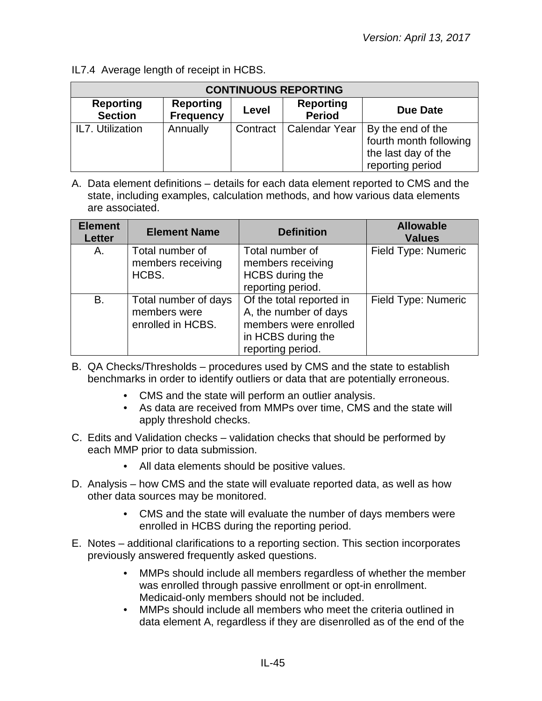IL7.4 Average length of receipt in HCBS.

| <b>CONTINUOUS REPORTING</b>        |                                      |          |                                   |                                                                                        |  |  |  |
|------------------------------------|--------------------------------------|----------|-----------------------------------|----------------------------------------------------------------------------------------|--|--|--|
| <b>Reporting</b><br><b>Section</b> | <b>Reporting</b><br><b>Frequency</b> | Level    | <b>Reporting</b><br><b>Period</b> | Due Date                                                                               |  |  |  |
| IL7. Utilization                   | Annually                             | Contract | <b>Calendar Year</b>              | By the end of the<br>fourth month following<br>the last day of the<br>reporting period |  |  |  |

| <b>Element</b><br><b>Letter</b> | <b>Element Name</b>                                       | <b>Definition</b>                                                                                                     | <b>Allowable</b><br><b>Values</b> |
|---------------------------------|-----------------------------------------------------------|-----------------------------------------------------------------------------------------------------------------------|-----------------------------------|
| А.                              | Total number of<br>members receiving<br>HCBS.             | Total number of<br>members receiving<br>HCBS during the<br>reporting period.                                          | Field Type: Numeric               |
| <b>B.</b>                       | Total number of days<br>members were<br>enrolled in HCBS. | Of the total reported in<br>A, the number of days<br>members were enrolled<br>in HCBS during the<br>reporting period. | Field Type: Numeric               |

- B. QA Checks/Thresholds procedures used by CMS and the state to establish benchmarks in order to identify outliers or data that are potentially erroneous.
	- CMS and the state will perform an outlier analysis.
	- As data are received from MMPs over time, CMS and the state will apply threshold checks.
- C. Edits and Validation checks validation checks that should be performed by each MMP prior to data submission.
	- All data elements should be positive values.
- D. Analysis how CMS and the state will evaluate reported data, as well as how other data sources may be monitored.
	- CMS and the state will evaluate the number of days members were enrolled in HCBS during the reporting period.
- E. Notes additional clarifications to a reporting section. This section incorporates previously answered frequently asked questions.
	- MMPs should include all members regardless of whether the member was enrolled through passive enrollment or opt-in enrollment. Medicaid-only members should not be included.
	- MMPs should include all members who meet the criteria outlined in data element A, regardless if they are disenrolled as of the end of the